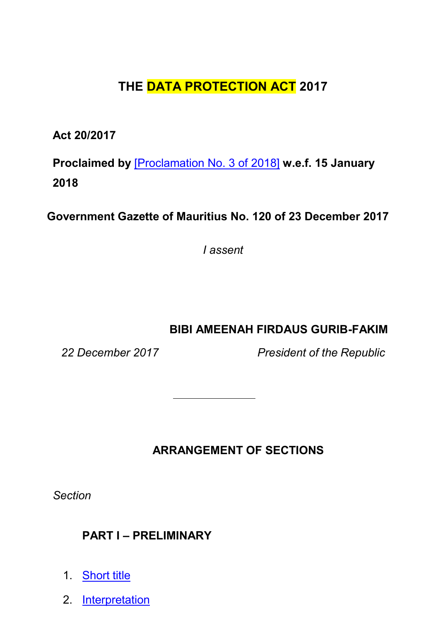# **THE DATA PROTECTION ACT 2017**

**Act 20/2017**

**Proclaimed by** [\[Proclamation No. 3 of 2018\]](https://supremecourt.govmu.org/get-doc-link/Proclamation_No._3_of_2018) **w.e.f. 15 January 2018**

**Government Gazette of Mauritius No. 120 of 23 December 2017**

*I assent*

**BIBI AMEENAH FIRDAUS GURIB-FAKIM**

*22 December 2017 President of the Republic*

**ARRANGEMENT OF SECTIONS**

*Section*

# **PART I – PRELIMINARY**

- 1. [Short](#page-4-0) title
- 2. [Interpretation](#page-5-0)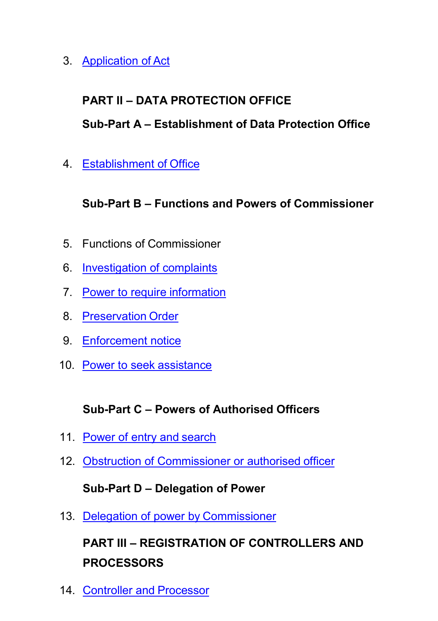3. [Application of](#page-10-0) Act

## **PART II – DATA PROTECTION OFFICE**

## **Sub-Part A – Establishment of Data Protection Office**

4. [Establishment of](#page-12-0) Office

## **Sub-Part B – Functions and Powers of Commissioner**

- 5. Functions of Commissioner
- 6. [Investigation of complaints](#page-14-0)
- 7. [Power to require](#page-17-0) information
- 8. [Preservation](#page-18-0) Order
- 9. [Enforcement](#page-18-1) notice
- 10. [Power to seek](#page-20-0) assistance

## **Sub-Part C – Powers of Authorised Officers**

- 11. [Power of entry and](#page-20-1) search
- 12. [Obstruction of Commissioner or authorised](#page-22-0) officer

## **Sub-Part D – Delegation of Power**

13. [Delegation of power by](#page-23-0) Commissioner

# **PART III – REGISTRATION OF CONTROLLERS AND PROCESSORS**

14. [Controller and](#page-23-1) Processor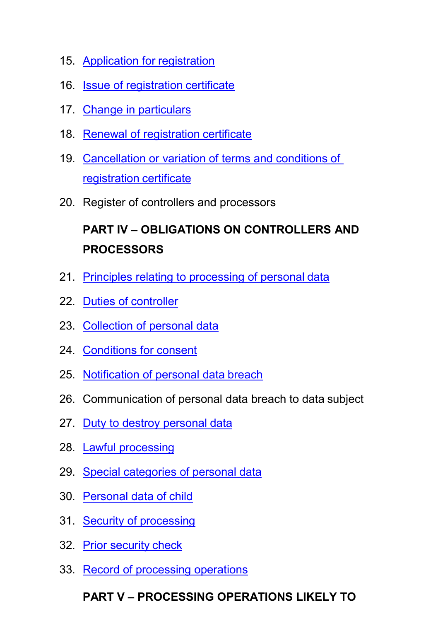- 15. [Application for](#page-23-2) registration
- 16. [Issue of registration](#page-25-0) certificate
- 17. Change in [particulars](#page-25-1)
- 18. [Renewal of registration](#page-26-0) certificate
- 19. [Cancellation or variation of terms and conditions of](#page-26-1)  [registration](#page-26-1) certificate
- 20. Register of controllers and processors

# **PART IV – OBLIGATIONS ON CONTROLLERS AND PROCESSORS**

- 21. [Principles relating to processing of personal](#page-27-0) data
- 22. Duties of [controller](#page-28-0)
- 23. [Collection of personal data](#page-29-0)
- 24. [Conditions for consent](#page-32-0)
- 25. [Notification of personal data](#page-32-1) breach
- 26. Communication of personal data breach to data subject
- 27. [Duty to destroy personal](#page-35-0) data
- 28. Lawful [processing](#page-35-1)
- 29. [Special categories of personal](#page-37-0) data
- 30. [Personal data of](#page-39-0) child
- 31. Security of [processing](#page-39-1)
- 32. [Prior security](#page-42-0) check
- 33. [Record of processing](#page-43-0) operations

# **PART V – PROCESSING OPERATIONS LIKELY TO**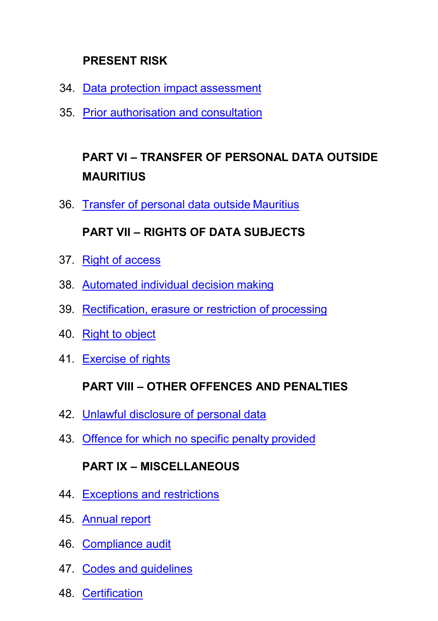# **PRESENT RISK**

- 34. [Data protection impact](#page-44-0) assessment
- 35. [Prior authorisation and](#page-46-0) consultation

# **PART VI – TRANSFER OF PERSONAL DATA OUTSIDE MAURITIUS**

36. [Transfer of personal data outside](#page-47-0) Mauritius

## **PART VII – RIGHTS OF DATA SUBJECTS**

- 37. [Right of access](#page-50-0)
- 38. [Automated individual decision](#page-53-0) making
- 39. [Rectification, erasure or restriction of](#page-54-0) processing
- 40. [Right to](#page-57-0) object
- 41. [Exercise of](#page-58-0) rights

## **PART VIII – OTHER OFFENCES AND PENALTIES**

- 42. [Unlawful disclosure of personal](#page-58-1) data
- 43. [Offence for which no specific penalty](#page-59-0) provided

# **PART IX – MISCELLANEOUS**

- 44. [Exceptions and](#page-60-0) restrictions
- 45. [Annual](#page-61-0) report
- 46. [Compliance audit](#page-63-0)
- 47. [Codes and](#page-63-1) guidelines
- 48. [Certification](#page-63-2)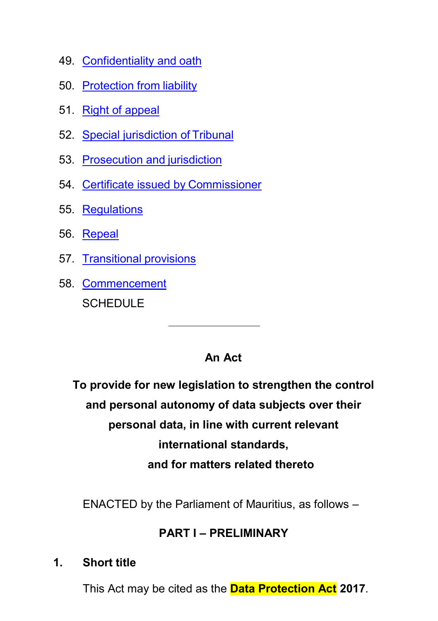- 49. [Confidentiality and](#page-64-0) oath
- 50. [Protection from](#page-65-0) liability
- 51. [Right of appeal](#page-66-0)
- 52. [Special jurisdiction](#page-66-1) of Tribunal
- 53. [Prosecution and](#page-67-0) jurisdiction
- 54. [Certificate issued by](#page-68-0) Commissioner
- 55. [Regulations](#page-68-1)
- 56. [Repeal](#page-69-0)
- 57. [Transitional](#page-69-1) provisions
- 58. [Commencement](#page-71-0) **SCHEDULE**

### **An Act**

**To provide for new legislation to strengthen the control and personal autonomy of data subjects over their personal data, in line with current relevant international standards, and for matters related thereto**

ENACTED by the Parliament of Mauritius, as follows –

### **PART I – PRELIMINARY**

#### <span id="page-4-0"></span>**1. Short title**

This Act may be cited as the **Data Protection Act 2017**.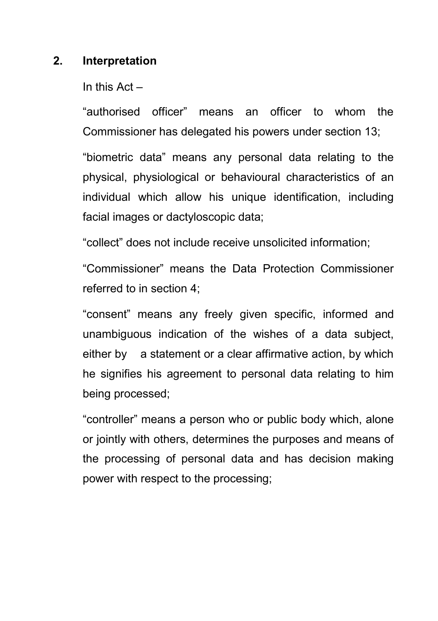### <span id="page-5-0"></span>**2. Interpretation**

In this Act –

"authorised officer" means an officer to whom the Commissioner has delegated his powers under section 13;

"biometric data" means any personal data relating to the physical, physiological or behavioural characteristics of an individual which allow his unique identification, including facial images or dactyloscopic data;

"collect" does not include receive unsolicited information;

"Commissioner" means the Data Protection Commissioner referred to in section 4;

"consent" means any freely given specific, informed and unambiguous indication of the wishes of a data subject, either by a statement or a clear affirmative action, by which he signifies his agreement to personal data relating to him being processed;

"controller" means a person who or public body which, alone or jointly with others, determines the purposes and means of the processing of personal data and has decision making power with respect to the processing;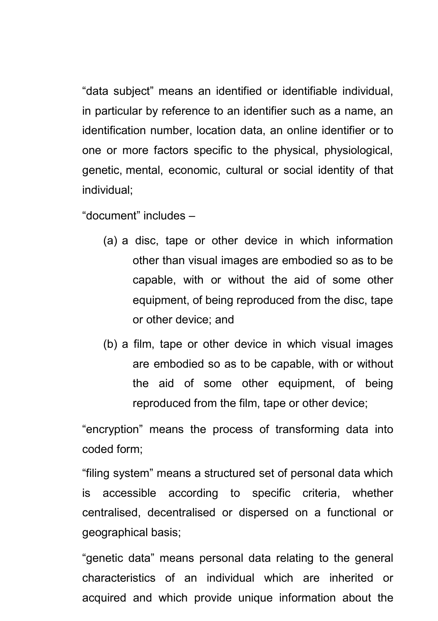"data subject" means an identified or identifiable individual, in particular by reference to an identifier such as a name, an identification number, location data, an online identifier or to one or more factors specific to the physical, physiological, genetic, mental, economic, cultural or social identity of that individual;

"document" includes –

- (a) a disc, tape or other device in which information other than visual images are embodied so as to be capable, with or without the aid of some other equipment, of being reproduced from the disc, tape or other device; and
- (b) a film, tape or other device in which visual images are embodied so as to be capable, with or without the aid of some other equipment, of being reproduced from the film, tape or other device;

"encryption" means the process of transforming data into coded form;

"filing system" means a structured set of personal data which is accessible according to specific criteria, whether centralised, decentralised or dispersed on a functional or geographical basis;

"genetic data" means personal data relating to the general characteristics of an individual which are inherited or acquired and which provide unique information about the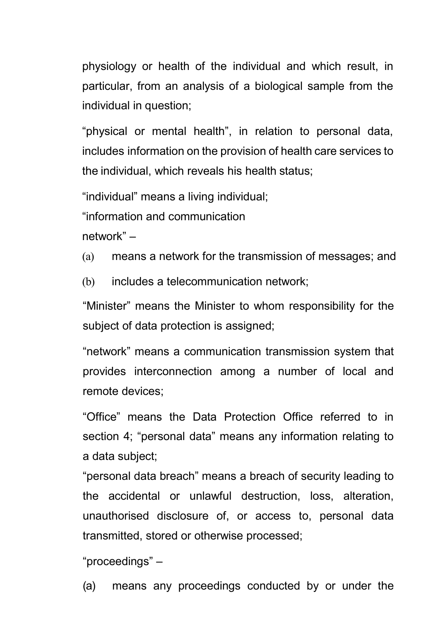physiology or health of the individual and which result, in particular, from an analysis of a biological sample from the individual in question;

"physical or mental health", in relation to personal data, includes information on the provision of health care services to the individual, which reveals his health status;

"individual" means a living individual;

"information and communication

network" –

(a) means a network for the transmission of messages; and

(b) includes a telecommunication network:

"Minister" means the Minister to whom responsibility for the subject of data protection is assigned;

"network" means a communication transmission system that provides interconnection among a number of local and remote devices;

"Office" means the Data Protection Office referred to in section 4; "personal data" means any information relating to a data subject;

"personal data breach" means a breach of security leading to the accidental or unlawful destruction, loss, alteration, unauthorised disclosure of, or access to, personal data transmitted, stored or otherwise processed;

"proceedings" –

(a) means any proceedings conducted by or under the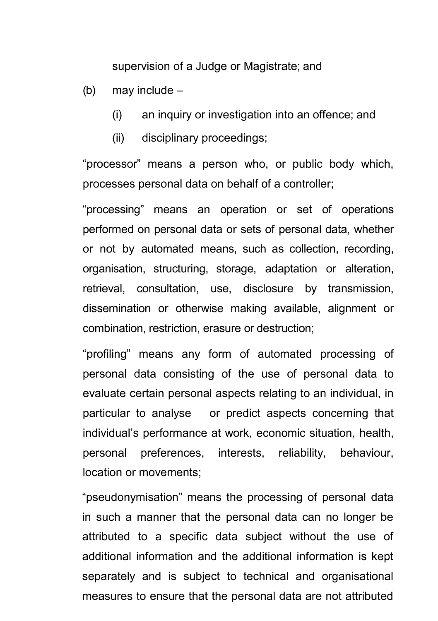supervision of a Judge or Magistrate; and

- (b) may include
	- (i) an inquiry or investigation into an offence; and
	- (ii) disciplinary proceedings;

"processor" means a person who, or public body which, processes personal data on behalf of a controller;

"processing" means an operation or set of operations performed on personal data or sets of personal data, whether or not by automated means, such as collection, recording, organisation, structuring, storage, adaptation or alteration, retrieval, consultation, use, disclosure by transmission, dissemination or otherwise making available, alignment or combination, restriction, erasure or destruction;

"profiling" means any form of automated processing of personal data consisting of the use of personal data to evaluate certain personal aspects relating to an individual, in particular to analyse or predict aspects concerning that individual's performance at work, economic situation, health, personal preferences, interests, reliability, behaviour, location or movements;

"pseudonymisation" means the processing of personal data in such a manner that the personal data can no longer be attributed to a specific data subject without the use of additional information and the additional information is kept separately and is subject to technical and organisational measures to ensure that the personal data are not attributed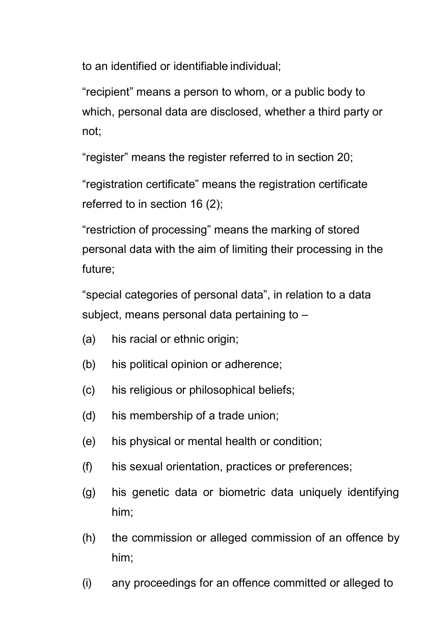to an identified or identifiable individual;

"recipient" means a person to whom, or a public body to which, personal data are disclosed, whether a third party or not;

"register" means the register referred to in section 20;

"registration certificate" means the registration certificate referred to in section 16 (2);

"restriction of processing" means the marking of stored personal data with the aim of limiting their processing in the future;

"special categories of personal data", in relation to a data subject, means personal data pertaining to –

- (a) his racial or ethnic origin;
- (b) his political opinion or adherence;
- (c) his religious or philosophical beliefs;
- (d) his membership of a trade union;
- (e) his physical or mental health or condition;
- (f) his sexual orientation, practices or preferences;
- (g) his genetic data or biometric data uniquely identifying him;
- (h) the commission or alleged commission of an offence by him;
- (i) any proceedings for an offence committed or alleged to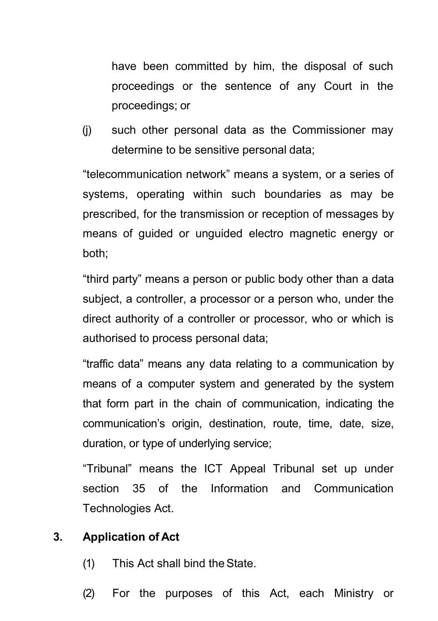have been committed by him, the disposal of such proceedings or the sentence of any Court in the proceedings; or

(j) such other personal data as the Commissioner may determine to be sensitive personal data;

"telecommunication network" means a system, or a series of systems, operating within such boundaries as may be prescribed, for the transmission or reception of messages by means of guided or unguided electro magnetic energy or both;

"third party" means a person or public body other than a data subject, a controller, a processor or a person who, under the direct authority of a controller or processor, who or which is authorised to process personal data;

"traffic data" means any data relating to a communication by means of a computer system and generated by the system that form part in the chain of communication, indicating the communication's origin, destination, route, time, date, size, duration, or type of underlying service;

"Tribunal" means the ICT Appeal Tribunal set up under section 35 of the Information and Communication Technologies Act.

#### <span id="page-10-0"></span>**3. Application of Act**

- (1) This Act shall bind theState.
- (2) For the purposes of this Act, each Ministry or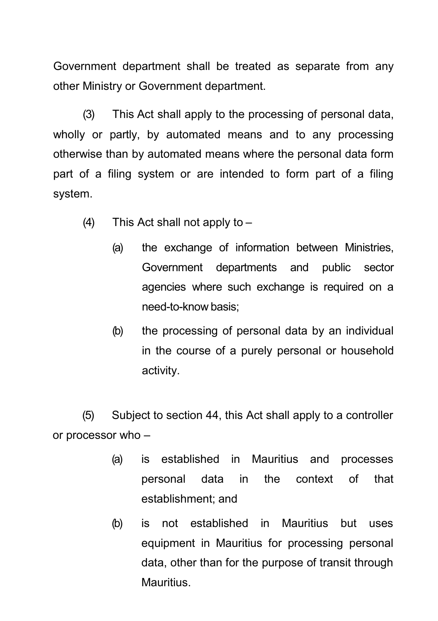Government department shall be treated as separate from any other Ministry or Government department.

(3) This Act shall apply to the processing of personal data, wholly or partly, by automated means and to any processing otherwise than by automated means where the personal data form part of a filing system or are intended to form part of a filing system.

- (4) This Act shall not apply to  $-$ 
	- (a) the exchange of information between Ministries, Government departments and public sector agencies where such exchange is required on a need-to-know basis;
	- (b) the processing of personal data by an individual in the course of a purely personal or household activity.

(5) Subject to section 44, this Act shall apply to a controller or processor who –

- (a) is established in Mauritius and processes personal data in the context of that establishment; and
- (b) is not established in Mauritius but uses equipment in Mauritius for processing personal data, other than for the purpose of transit through Mauritius.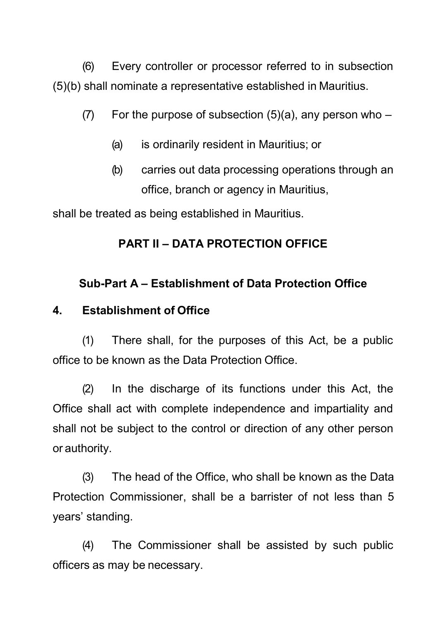(6) Every controller or processor referred to in subsection (5)(b) shall nominate a representative established in Mauritius.

- (7) For the purpose of subsection  $(5)(a)$ , any person who
	- (a) is ordinarily resident in Mauritius; or
	- (b) carries out data processing operations through an office, branch or agency in Mauritius,

shall be treated as being established in Mauritius.

# **PART II – DATA PROTECTION OFFICE**

# **Sub-Part A – Establishment of Data Protection Office**

## <span id="page-12-0"></span>**4. Establishment of Office**

(1) There shall, for the purposes of this Act, be a public office to be known as the Data Protection Office.

(2) In the discharge of its functions under this Act, the Office shall act with complete independence and impartiality and shall not be subject to the control or direction of any other person or authority.

(3) The head of the Office, who shall be known as the Data Protection Commissioner, shall be a barrister of not less than 5 years' standing.

(4) The Commissioner shall be assisted by such public officers as may be necessary.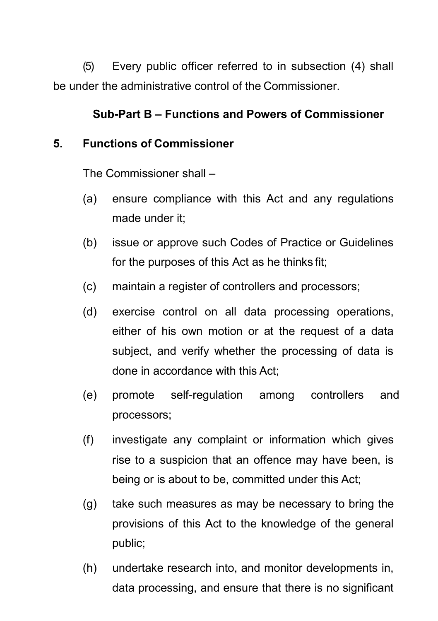(5) Every public officer referred to in subsection (4) shall be under the administrative control of the Commissioner.

### **Sub-Part B – Functions and Powers of Commissioner**

#### **5. Functions of Commissioner**

The Commissioner shall –

- (a) ensure compliance with this Act and any regulations made under it;
- (b) issue or approve such Codes of Practice or Guidelines for the purposes of this Act as he thinks fit;
- (c) maintain a register of controllers and processors;
- (d) exercise control on all data processing operations, either of his own motion or at the request of a data subject, and verify whether the processing of data is done in accordance with this Act;
- (e) promote self-regulation among controllers and processors;
- (f) investigate any complaint or information which gives rise to a suspicion that an offence may have been, is being or is about to be, committed under this Act;
- (g) take such measures as may be necessary to bring the provisions of this Act to the knowledge of the general public;
- (h) undertake research into, and monitor developments in, data processing, and ensure that there is no significant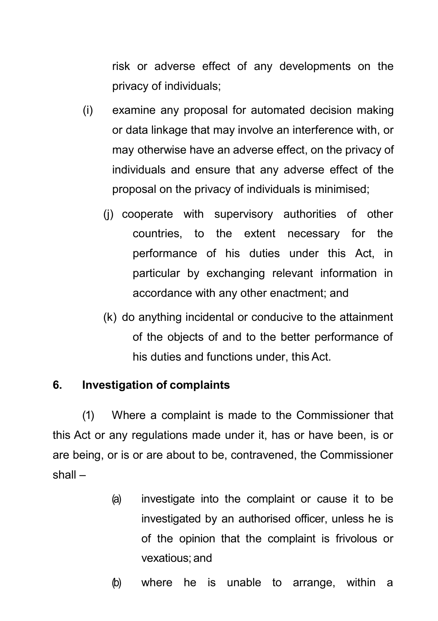risk or adverse effect of any developments on the privacy of individuals;

- (i) examine any proposal for automated decision making or data linkage that may involve an interference with, or may otherwise have an adverse effect, on the privacy of individuals and ensure that any adverse effect of the proposal on the privacy of individuals is minimised;
	- (j) cooperate with supervisory authorities of other countries, to the extent necessary for the performance of his duties under this Act, in particular by exchanging relevant information in accordance with any other enactment; and
	- (k) do anything incidental or conducive to the attainment of the objects of and to the better performance of his duties and functions under, this Act.

### <span id="page-14-0"></span>**6. Investigation of complaints**

(1) Where a complaint is made to the Commissioner that this Act or any regulations made under it, has or have been, is or are being, or is or are about to be, contravened, the Commissioner shall –

- (a) investigate into the complaint or cause it to be investigated by an authorised officer, unless he is of the opinion that the complaint is frivolous or vexatious; and
- (b) where he is unable to arrange, within a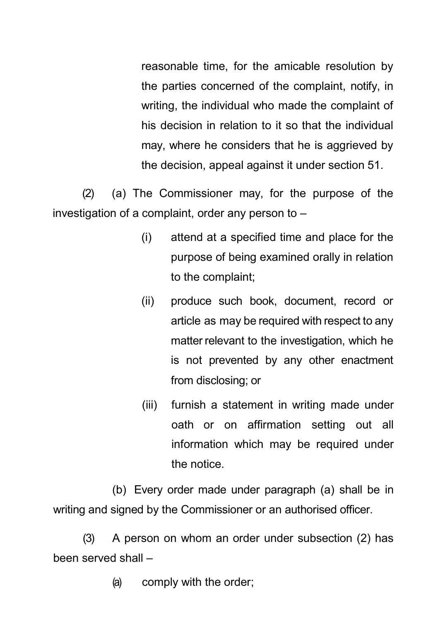reasonable time, for the amicable resolution by the parties concerned of the complaint, notify, in writing, the individual who made the complaint of his decision in relation to it so that the individual may, where he considers that he is aggrieved by the decision, appeal against it under section 51.

(2) (a) The Commissioner may, for the purpose of the investigation of a complaint, order any person to –

- (i) attend at a specified time and place for the purpose of being examined orally in relation to the complaint;
- (ii) produce such book, document, record or article as may be required with respect to any matter relevant to the investigation, which he is not prevented by any other enactment from disclosing; or
- (iii) furnish a statement in writing made under oath or on affirmation setting out all information which may be required under the notice.

(b) Every order made under paragraph (a) shall be in writing and signed by the Commissioner or an authorised officer.

(3) A person on whom an order under subsection (2) has been served shall –

(a) comply with the order;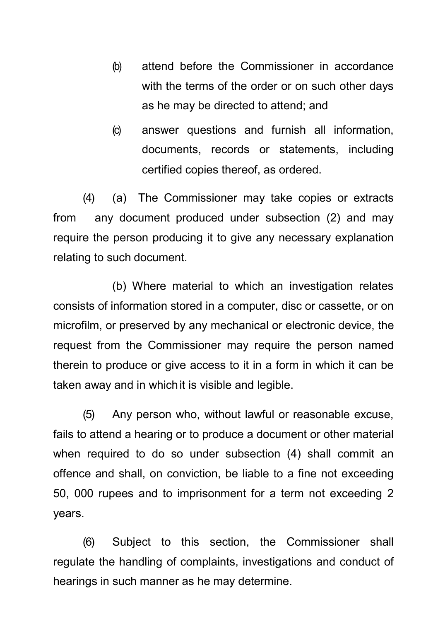- (b) attend before the Commissioner in accordance with the terms of the order or on such other days as he may be directed to attend; and
- (c) answer questions and furnish all information, documents, records or statements, including certified copies thereof, as ordered.

(4) (a) The Commissioner may take copies or extracts from any document produced under subsection (2) and may require the person producing it to give any necessary explanation relating to such document.

(b) Where material to which an investigation relates consists of information stored in a computer, disc or cassette, or on microfilm, or preserved by any mechanical or electronic device, the request from the Commissioner may require the person named therein to produce or give access to it in a form in which it can be taken away and in whichit is visible and legible.

(5) Any person who, without lawful or reasonable excuse, fails to attend a hearing or to produce a document or other material when required to do so under subsection (4) shall commit an offence and shall, on conviction, be liable to a fine not exceeding 50, 000 rupees and to imprisonment for a term not exceeding 2 years.

(6) Subject to this section, the Commissioner shall regulate the handling of complaints, investigations and conduct of hearings in such manner as he may determine.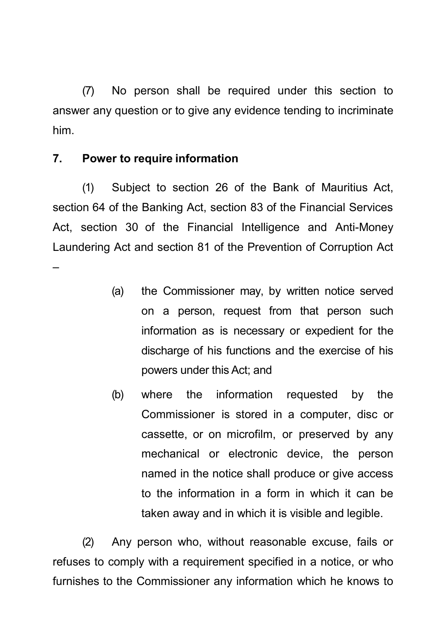(7) No person shall be required under this section to answer any question or to give any evidence tending to incriminate him.

### <span id="page-17-0"></span>**7. Power to require information**

–

(1) Subject to section 26 of the Bank of Mauritius Act, section 64 of the Banking Act, section 83 of the Financial Services Act, section 30 of the Financial Intelligence and Anti-Money Laundering Act and section 81 of the Prevention of Corruption Act

> (a) the Commissioner may, by written notice served on a person, request from that person such information as is necessary or expedient for the discharge of his functions and the exercise of his powers under this Act; and

> (b) where the information requested by the Commissioner is stored in a computer, disc or cassette, or on microfilm, or preserved by any mechanical or electronic device, the person named in the notice shall produce or give access to the information in a form in which it can be taken away and in which it is visible and legible.

(2) Any person who, without reasonable excuse, fails or refuses to comply with a requirement specified in a notice, or who furnishes to the Commissioner any information which he knows to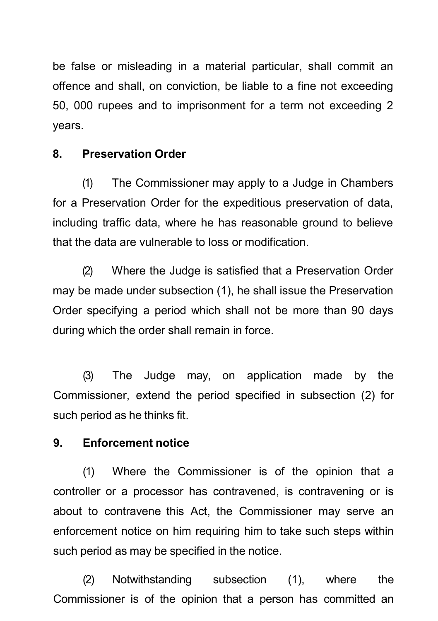be false or misleading in a material particular, shall commit an offence and shall, on conviction, be liable to a fine not exceeding 50, 000 rupees and to imprisonment for a term not exceeding 2 years.

### <span id="page-18-0"></span>**8. Preservation Order**

(1) The Commissioner may apply to a Judge in Chambers for a Preservation Order for the expeditious preservation of data, including traffic data, where he has reasonable ground to believe that the data are vulnerable to loss or modification.

(2) Where the Judge is satisfied that a Preservation Order may be made under subsection (1), he shall issue the Preservation Order specifying a period which shall not be more than 90 days during which the order shall remain in force.

(3) The Judge may, on application made by the Commissioner, extend the period specified in subsection (2) for such period as he thinks fit.

### <span id="page-18-1"></span>**9. Enforcement notice**

(1) Where the Commissioner is of the opinion that a controller or a processor has contravened, is contravening or is about to contravene this Act, the Commissioner may serve an enforcement notice on him requiring him to take such steps within such period as may be specified in the notice.

(2) Notwithstanding subsection (1), where the Commissioner is of the opinion that a person has committed an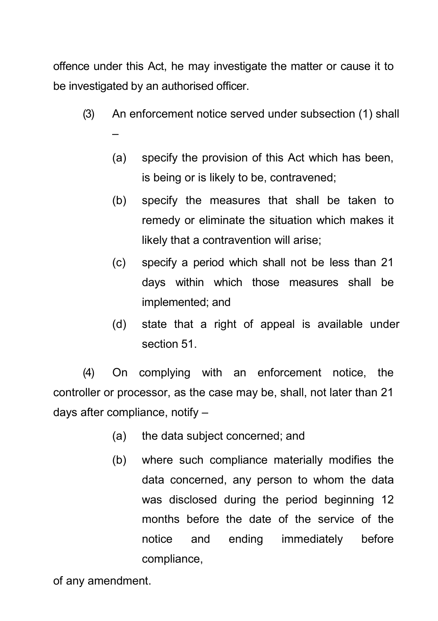offence under this Act, he may investigate the matter or cause it to be investigated by an authorised officer.

- (3) An enforcement notice served under subsection (1) shall –
	- (a) specify the provision of this Act which has been, is being or is likely to be, contravened;
	- (b) specify the measures that shall be taken to remedy or eliminate the situation which makes it likely that a contravention will arise;
	- (c) specify a period which shall not be less than 21 days within which those measures shall be implemented; and
	- (d) state that a right of appeal is available under section 51.

(4) On complying with an enforcement notice, the controller or processor, as the case may be, shall, not later than 21 days after compliance, notify –

- (a) the data subject concerned; and
- (b) where such compliance materially modifies the data concerned, any person to whom the data was disclosed during the period beginning 12 months before the date of the service of the notice and ending immediately before compliance,

of any amendment.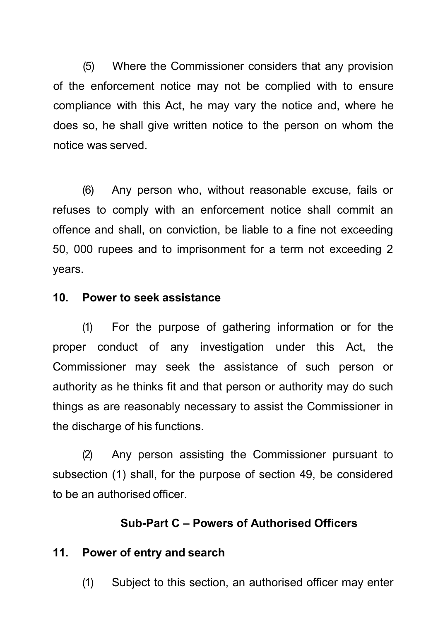(5) Where the Commissioner considers that any provision of the enforcement notice may not be complied with to ensure compliance with this Act, he may vary the notice and, where he does so, he shall give written notice to the person on whom the notice was served.

(6) Any person who, without reasonable excuse, fails or refuses to comply with an enforcement notice shall commit an offence and shall, on conviction, be liable to a fine not exceeding 50, 000 rupees and to imprisonment for a term not exceeding 2 years.

#### <span id="page-20-0"></span>**10. Power to seek assistance**

(1) For the purpose of gathering information or for the proper conduct of any investigation under this Act, the Commissioner may seek the assistance of such person or authority as he thinks fit and that person or authority may do such things as are reasonably necessary to assist the Commissioner in the discharge of his functions.

(2) Any person assisting the Commissioner pursuant to subsection (1) shall, for the purpose of section 49, be considered to be an authorised officer.

#### **Sub-Part C – Powers of Authorised Officers**

#### <span id="page-20-1"></span>**11. Power of entry and search**

(1) Subject to this section, an authorised officer may enter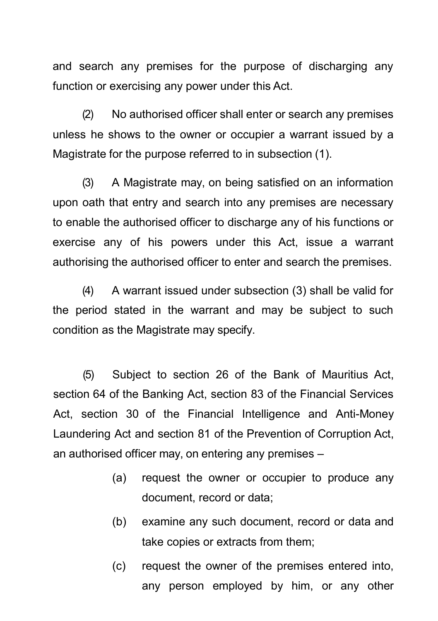and search any premises for the purpose of discharging any function or exercising any power under this Act.

(2) No authorised officer shall enter or search any premises unless he shows to the owner or occupier a warrant issued by a Magistrate for the purpose referred to in subsection (1).

(3) A Magistrate may, on being satisfied on an information upon oath that entry and search into any premises are necessary to enable the authorised officer to discharge any of his functions or exercise any of his powers under this Act, issue a warrant authorising the authorised officer to enter and search the premises.

(4) A warrant issued under subsection (3) shall be valid for the period stated in the warrant and may be subject to such condition as the Magistrate may specify.

(5) Subject to section 26 of the Bank of Mauritius Act, section 64 of the Banking Act, section 83 of the Financial Services Act, section 30 of the Financial Intelligence and Anti-Money Laundering Act and section 81 of the Prevention of Corruption Act, an authorised officer may, on entering any premises –

- (a) request the owner or occupier to produce any document, record or data;
- (b) examine any such document, record or data and take copies or extracts from them;
- (c) request the owner of the premises entered into, any person employed by him, or any other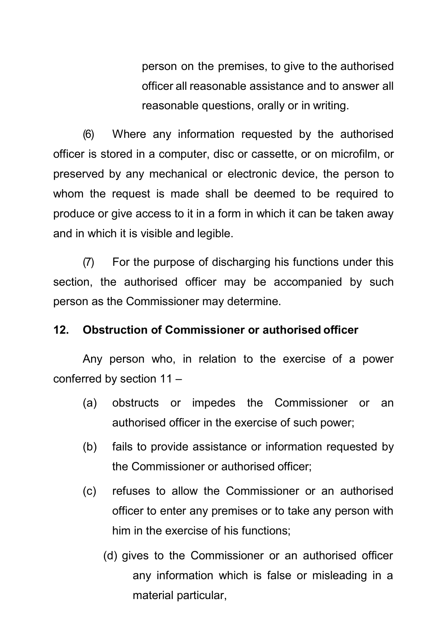person on the premises, to give to the authorised officer all reasonable assistance and to answer all reasonable questions, orally or in writing.

(6) Where any information requested by the authorised officer is stored in a computer, disc or cassette, or on microfilm, or preserved by any mechanical or electronic device, the person to whom the request is made shall be deemed to be required to produce or give access to it in a form in which it can be taken away and in which it is visible and legible.

(7) For the purpose of discharging his functions under this section, the authorised officer may be accompanied by such person as the Commissioner may determine.

#### <span id="page-22-0"></span>**12. Obstruction of Commissioner or authorised officer**

Any person who, in relation to the exercise of a power conferred by section 11 –

- (a) obstructs or impedes the Commissioner or an authorised officer in the exercise of such power;
- (b) fails to provide assistance or information requested by the Commissioner or authorised officer;
- (c) refuses to allow the Commissioner or an authorised officer to enter any premises or to take any person with him in the exercise of his functions;
	- (d) gives to the Commissioner or an authorised officer any information which is false or misleading in a material particular,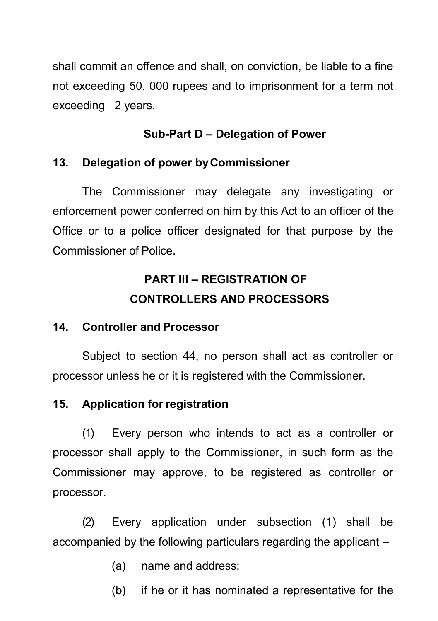shall commit an offence and shall, on conviction, be liable to a fine not exceeding 50, 000 rupees and to imprisonment for a term not exceeding 2 years.

### **Sub-Part D – Delegation of Power**

### <span id="page-23-0"></span>**13. Delegation of power byCommissioner**

The Commissioner may delegate any investigating or enforcement power conferred on him by this Act to an officer of the Office or to a police officer designated for that purpose by the Commissioner of Police.

# **PART III – REGISTRATION OF CONTROLLERS AND PROCESSORS**

### <span id="page-23-1"></span>**14. Controller and Processor**

Subject to section 44, no person shall act as controller or processor unless he or it is registered with the Commissioner.

## <span id="page-23-2"></span>**15. Application forregistration**

(1) Every person who intends to act as a controller or processor shall apply to the Commissioner, in such form as the Commissioner may approve, to be registered as controller or processor.

(2) Every application under subsection (1) shall be accompanied by the following particulars regarding the applicant –

- (a) name and address;
- (b) if he or it has nominated a representative for the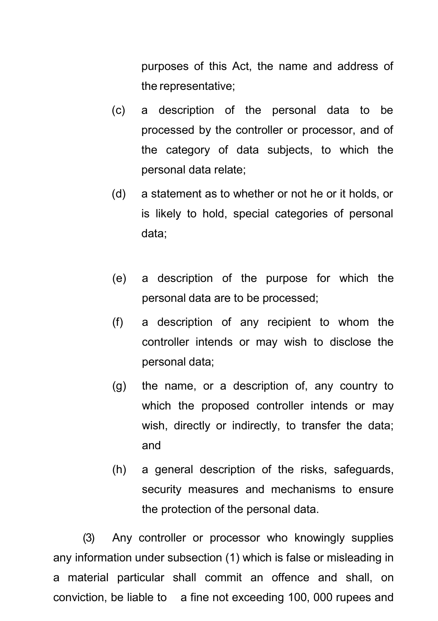purposes of this Act, the name and address of the representative;

- (c) a description of the personal data to be processed by the controller or processor, and of the category of data subjects, to which the personal data relate;
- (d) a statement as to whether or not he or it holds, or is likely to hold, special categories of personal data;
- (e) a description of the purpose for which the personal data are to be processed;
- (f) a description of any recipient to whom the controller intends or may wish to disclose the personal data;
- (g) the name, or a description of, any country to which the proposed controller intends or may wish, directly or indirectly, to transfer the data; and
- (h) a general description of the risks, safeguards, security measures and mechanisms to ensure the protection of the personal data.

(3) Any controller or processor who knowingly supplies any information under subsection (1) which is false or misleading in a material particular shall commit an offence and shall, on conviction, be liable to a fine not exceeding 100, 000 rupees and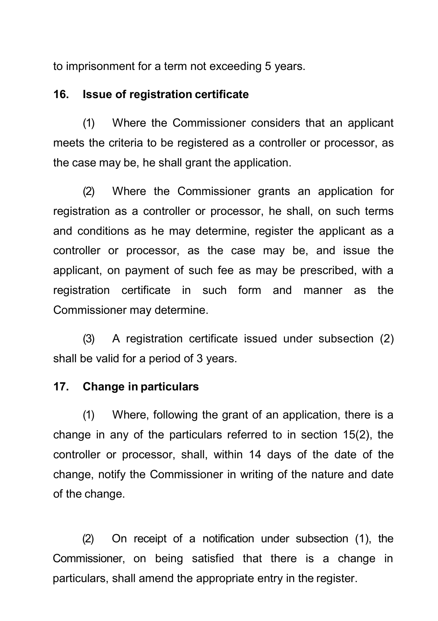to imprisonment for a term not exceeding 5 years.

#### <span id="page-25-0"></span>**16. Issue of registration certificate**

(1) Where the Commissioner considers that an applicant meets the criteria to be registered as a controller or processor, as the case may be, he shall grant the application.

(2) Where the Commissioner grants an application for registration as a controller or processor, he shall, on such terms and conditions as he may determine, register the applicant as a controller or processor, as the case may be, and issue the applicant, on payment of such fee as may be prescribed, with a registration certificate in such form and manner as the Commissioner may determine.

(3) A registration certificate issued under subsection (2) shall be valid for a period of 3 years.

#### <span id="page-25-1"></span>**17. Change in particulars**

(1) Where, following the grant of an application, there is a change in any of the particulars referred to in section 15(2), the controller or processor, shall, within 14 days of the date of the change, notify the Commissioner in writing of the nature and date of the change.

(2) On receipt of a notification under subsection (1), the Commissioner, on being satisfied that there is a change in particulars, shall amend the appropriate entry in the register.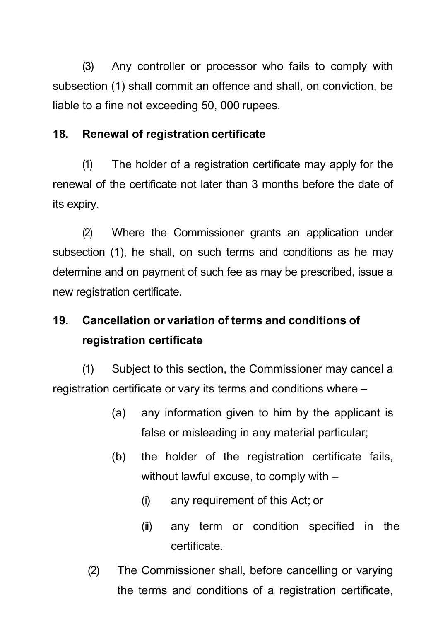(3) Any controller or processor who fails to comply with subsection (1) shall commit an offence and shall, on conviction, be liable to a fine not exceeding 50, 000 rupees.

#### <span id="page-26-0"></span>**18. Renewal of registration certificate**

(1) The holder of a registration certificate may apply for the renewal of the certificate not later than 3 months before the date of its expiry.

(2) Where the Commissioner grants an application under subsection (1), he shall, on such terms and conditions as he may determine and on payment of such fee as may be prescribed, issue a new registration certificate.

# <span id="page-26-1"></span>**19. Cancellation or variation of terms and conditions of registration certificate**

(1) Subject to this section, the Commissioner may cancel a registration certificate or vary its terms and conditions where –

- (a) any information given to him by the applicant is false or misleading in any material particular;
- (b) the holder of the registration certificate fails, without lawful excuse, to comply with –
	- (i) any requirement of this Act; or
	- (ii) any term or condition specified in the certificate.
- (2) The Commissioner shall, before cancelling or varying the terms and conditions of a registration certificate,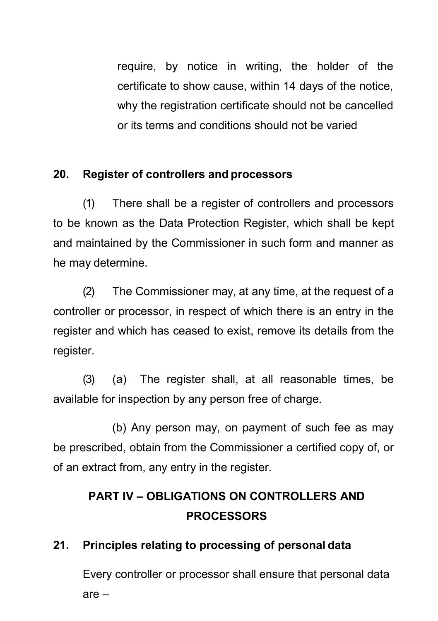require, by notice in writing, the holder of the certificate to show cause, within 14 days of the notice, why the registration certificate should not be cancelled or its terms and conditions should not be varied

## **20. Register of controllers and processors**

(1) There shall be a register of controllers and processors to be known as the Data Protection Register, which shall be kept and maintained by the Commissioner in such form and manner as he may determine.

(2) The Commissioner may, at any time, at the request of a controller or processor, in respect of which there is an entry in the register and which has ceased to exist, remove its details from the register.

(3) (a) The register shall, at all reasonable times, be available for inspection by any person free of charge.

(b) Any person may, on payment of such fee as may be prescribed, obtain from the Commissioner a certified copy of, or of an extract from, any entry in the register.

# **PART IV – OBLIGATIONS ON CONTROLLERS AND PROCESSORS**

# <span id="page-27-0"></span>**21. Principles relating to processing of personal data**

Every controller or processor shall ensure that personal data are –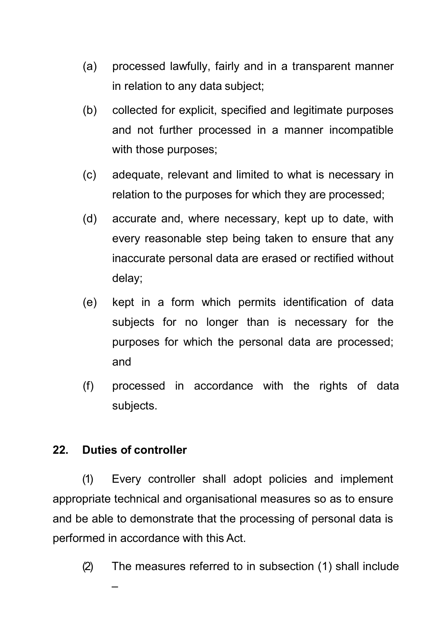- (a) processed lawfully, fairly and in a transparent manner in relation to any data subject;
- (b) collected for explicit, specified and legitimate purposes and not further processed in a manner incompatible with those purposes;
- (c) adequate, relevant and limited to what is necessary in relation to the purposes for which they are processed;
- (d) accurate and, where necessary, kept up to date, with every reasonable step being taken to ensure that any inaccurate personal data are erased or rectified without delay;
- (e) kept in a form which permits identification of data subjects for no longer than is necessary for the purposes for which the personal data are processed; and
- (f) processed in accordance with the rights of data subjects.

## <span id="page-28-0"></span>**22. Duties of controller**

(1) Every controller shall adopt policies and implement appropriate technical and organisational measures so as to ensure and be able to demonstrate that the processing of personal data is performed in accordance with this Act.

(2) The measures referred to in subsection (1) shall include –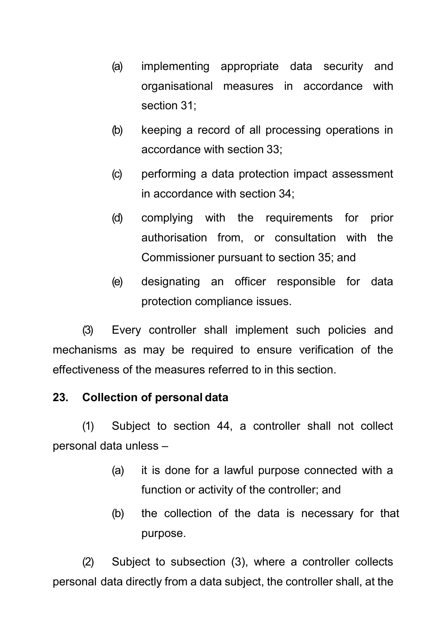- (a) implementing appropriate data security and organisational measures in accordance with section 31;
- (b) keeping a record of all processing operations in accordance with section 33;
- (c) performing a data protection impact assessment in accordance with section 34;
- (d) complying with the requirements for prior authorisation from, or consultation with the Commissioner pursuant to section 35; and
- (e) designating an officer responsible for data protection compliance issues.

(3) Every controller shall implement such policies and mechanisms as may be required to ensure verification of the effectiveness of the measures referred to in this section.

### <span id="page-29-0"></span>**23. Collection of personal data**

(1) Subject to section 44, a controller shall not collect personal data unless –

- (a) it is done for a lawful purpose connected with a function or activity of the controller; and
- (b) the collection of the data is necessary for that purpose.

(2) Subject to subsection (3), where a controller collects personal data directly from a data subject, the controller shall, at the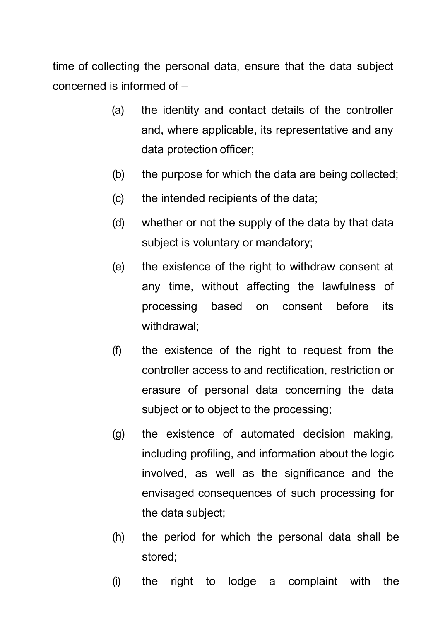time of collecting the personal data, ensure that the data subject concerned is informed of –

- (a) the identity and contact details of the controller and, where applicable, its representative and any data protection officer;
- (b) the purpose for which the data are being collected;
- (c) the intended recipients of the data;
- (d) whether or not the supply of the data by that data subject is voluntary or mandatory:
- (e) the existence of the right to withdraw consent at any time, without affecting the lawfulness of processing based on consent before its withdrawal;
- (f) the existence of the right to request from the controller access to and rectification, restriction or erasure of personal data concerning the data subject or to object to the processing;
- (g) the existence of automated decision making, including profiling, and information about the logic involved, as well as the significance and the envisaged consequences of such processing for the data subject;
- (h) the period for which the personal data shall be stored;
- (i) the right to lodge a complaint with the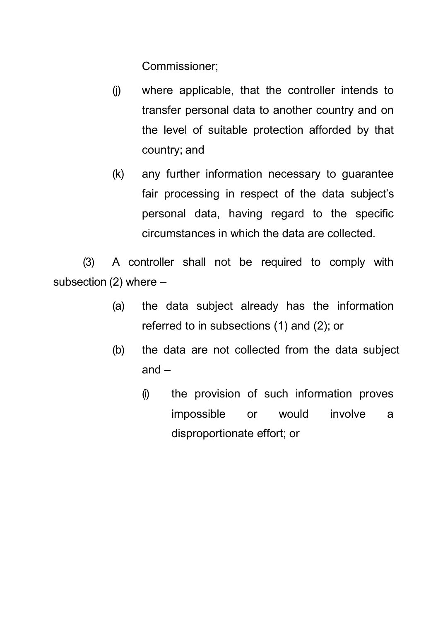Commissioner;

- (j) where applicable, that the controller intends to transfer personal data to another country and on the level of suitable protection afforded by that country; and
- (k) any further information necessary to guarantee fair processing in respect of the data subject's personal data, having regard to the specific circumstances in which the data are collected.

(3) A controller shall not be required to comply with subsection  $(2)$  where  $-$ 

- (a) the data subject already has the information referred to in subsections (1) and (2); or
- (b) the data are not collected from the data subject and –
	- (i) the provision of such information proves impossible or would involve a disproportionate effort; or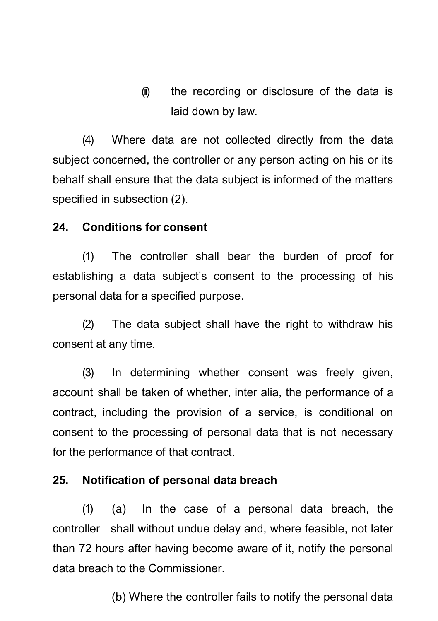(ii) the recording or disclosure of the data is laid down by law.

(4) Where data are not collected directly from the data subject concerned, the controller or any person acting on his or its behalf shall ensure that the data subject is informed of the matters specified in subsection (2).

#### <span id="page-32-0"></span>**24. Conditions for consent**

(1) The controller shall bear the burden of proof for establishing a data subject's consent to the processing of his personal data for a specified purpose.

(2) The data subject shall have the right to withdraw his consent at any time.

(3) In determining whether consent was freely given, account shall be taken of whether, inter alia, the performance of a contract, including the provision of a service, is conditional on consent to the processing of personal data that is not necessary for the performance of that contract.

#### <span id="page-32-1"></span>**25. Notification of personal data breach**

(1) (a) In the case of a personal data breach, the controller shall without undue delay and, where feasible, not later than 72 hours after having become aware of it, notify the personal data breach to the Commissioner.

(b) Where the controller fails to notify the personal data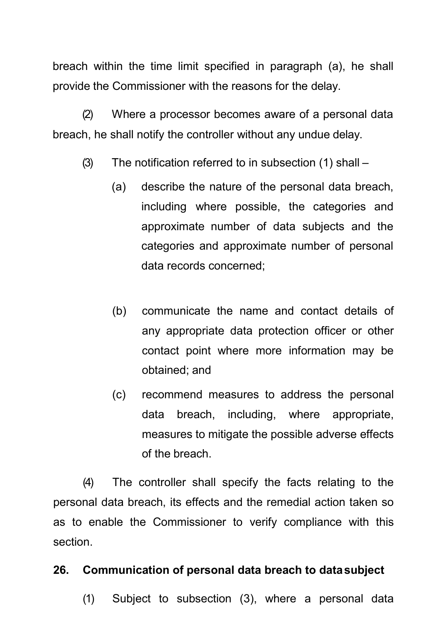breach within the time limit specified in paragraph (a), he shall provide the Commissioner with the reasons for the delay.

(2) Where a processor becomes aware of a personal data breach, he shall notify the controller without any undue delay.

- (3) The notification referred to in subsection (1) shall
	- (a) describe the nature of the personal data breach, including where possible, the categories and approximate number of data subjects and the categories and approximate number of personal data records concerned;
	- (b) communicate the name and contact details of any appropriate data protection officer or other contact point where more information may be obtained; and
	- (c) recommend measures to address the personal data breach, including, where appropriate, measures to mitigate the possible adverse effects of the breach.

(4) The controller shall specify the facts relating to the personal data breach, its effects and the remedial action taken so as to enable the Commissioner to verify compliance with this section.

### **26. Communication of personal data breach to datasubject**

(1) Subject to subsection (3), where a personal data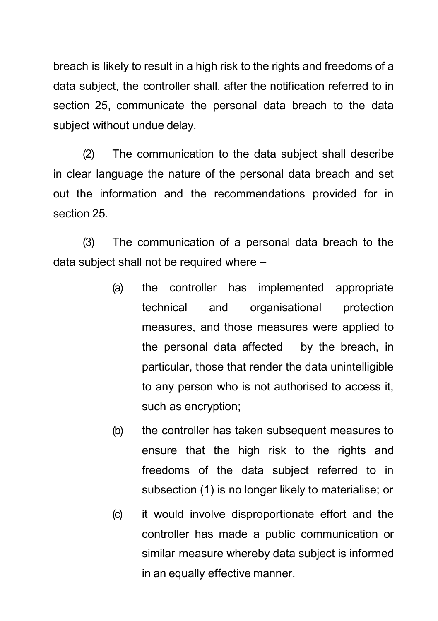breach is likely to result in a high risk to the rights and freedoms of a data subject, the controller shall, after the notification referred to in section 25, communicate the personal data breach to the data subject without undue delay.

(2) The communication to the data subject shall describe in clear language the nature of the personal data breach and set out the information and the recommendations provided for in section 25.

(3) The communication of a personal data breach to the data subject shall not be required where –

- (a) the controller has implemented appropriate technical and organisational protection measures, and those measures were applied to the personal data affected by the breach, in particular, those that render the data unintelligible to any person who is not authorised to access it, such as encryption;
- (b) the controller has taken subsequent measures to ensure that the high risk to the rights and freedoms of the data subject referred to in subsection (1) is no longer likely to materialise; or
- (c) it would involve disproportionate effort and the controller has made a public communication or similar measure whereby data subject is informed in an equally effective manner.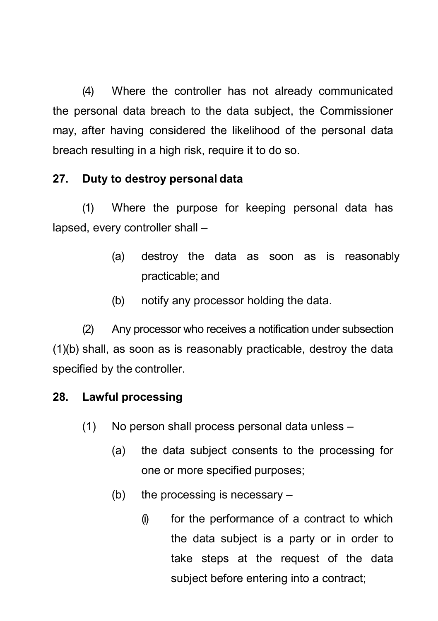(4) Where the controller has not already communicated the personal data breach to the data subject, the Commissioner may, after having considered the likelihood of the personal data breach resulting in a high risk, require it to do so.

## <span id="page-35-0"></span>**27. Duty to destroy personal data**

(1) Where the purpose for keeping personal data has lapsed, every controller shall –

- (a) destroy the data as soon as is reasonably practicable; and
- (b) notify any processor holding the data.

(2) Any processor who receives a notification under subsection (1)(b) shall, as soon as is reasonably practicable, destroy the data specified by the controller.

# <span id="page-35-1"></span>**28. Lawful processing**

- (1) No person shall process personal data unless
	- (a) the data subject consents to the processing for one or more specified purposes;
	- (b) the processing is necessary  $-$ 
		- (i) for the performance of a contract to which the data subject is a party or in order to take steps at the request of the data subject before entering into a contract;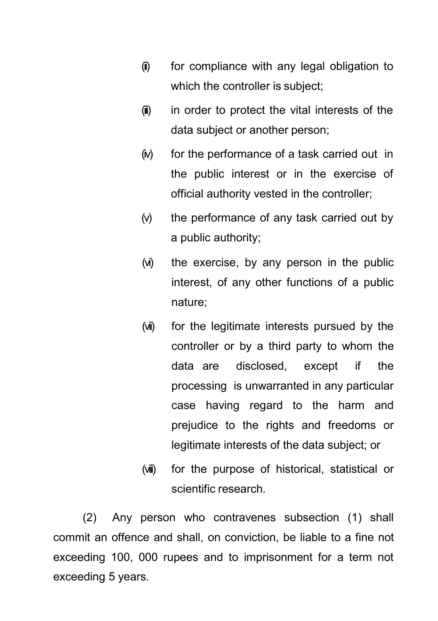- (ii) for compliance with any legal obligation to which the controller is subject;
- (iii) in order to protect the vital interests of the data subject or another person;
- (iv) for the performance of a task carried out in the public interest or in the exercise of official authority vested in the controller;
- (v) the performance of any task carried out by a public authority;
- (vi) the exercise, by any person in the public interest, of any other functions of a public nature;
- (vii) for the legitimate interests pursued by the controller or by a third party to whom the data are disclosed, except if the processing is unwarranted in any particular case having regard to the harm and prejudice to the rights and freedoms or legitimate interests of the data subject; or
- (viii) for the purpose of historical, statistical or scientific research.

(2) Any person who contravenes subsection (1) shall commit an offence and shall, on conviction, be liable to a fine not exceeding 100, 000 rupees and to imprisonment for a term not exceeding 5 years.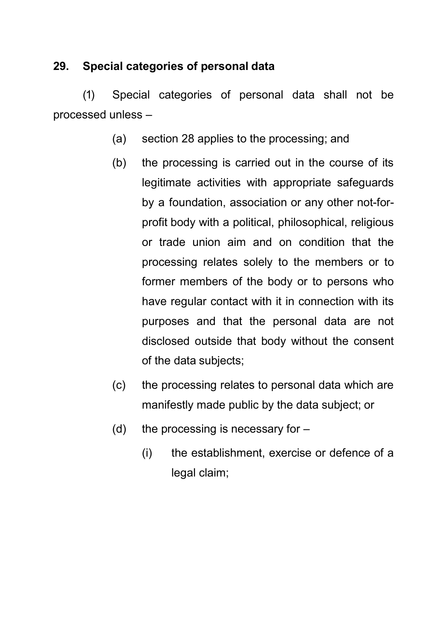# **29. Special categories of personal data**

(1) Special categories of personal data shall not be processed unless –

- (a) section 28 applies to the processing; and
- (b) the processing is carried out in the course of its legitimate activities with appropriate safeguards by a foundation, association or any other not-forprofit body with a political, philosophical, religious or trade union aim and on condition that the processing relates solely to the members or to former members of the body or to persons who have regular contact with it in connection with its purposes and that the personal data are not disclosed outside that body without the consent of the data subjects;
- (c) the processing relates to personal data which are manifestly made public by the data subject; or
- (d) the processing is necessary for  $-$ 
	- (i) the establishment, exercise or defence of a legal claim;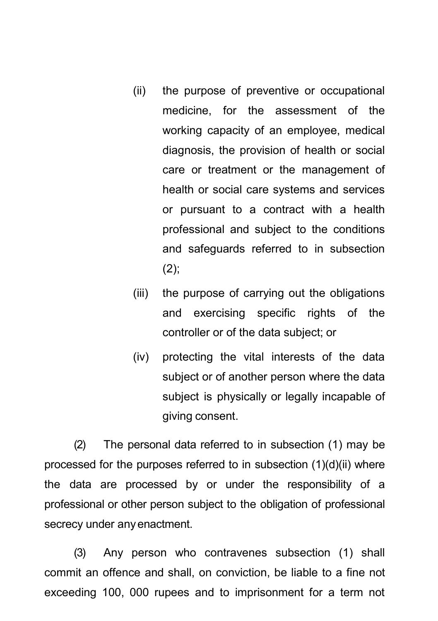- (ii) the purpose of preventive or occupational medicine, for the assessment of the working capacity of an employee, medical diagnosis, the provision of health or social care or treatment or the management of health or social care systems and services or pursuant to a contract with a health professional and subject to the conditions and safeguards referred to in subsection  $(2)$ ;
- (iii) the purpose of carrying out the obligations and exercising specific rights of the controller or of the data subject; or
- (iv) protecting the vital interests of the data subject or of another person where the data subject is physically or legally incapable of giving consent.

(2) The personal data referred to in subsection (1) may be processed for the purposes referred to in subsection (1)(d)(ii) where the data are processed by or under the responsibility of a professional or other person subject to the obligation of professional secrecy under anyenactment.

(3) Any person who contravenes subsection (1) shall commit an offence and shall, on conviction, be liable to a fine not exceeding 100, 000 rupees and to imprisonment for a term not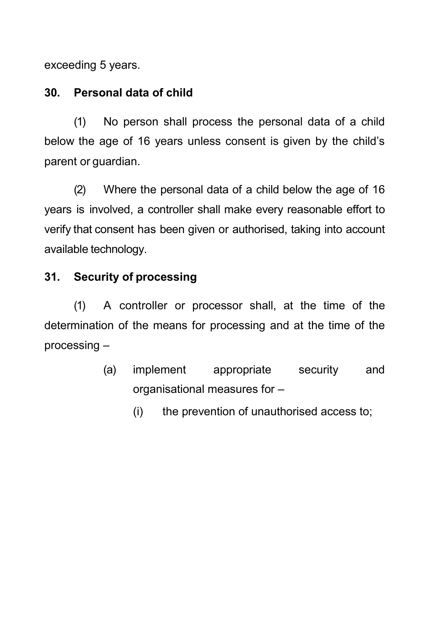exceeding 5 years.

# **30. Personal data of child**

(1) No person shall process the personal data of a child below the age of 16 years unless consent is given by the child's parent or guardian.

(2) Where the personal data of a child below the age of 16 years is involved, a controller shall make every reasonable effort to verify that consent has been given or authorised, taking into account available technology.

# **31. Security of processing**

(1) A controller or processor shall, at the time of the determination of the means for processing and at the time of the processing –

- (a) implement appropriate security and organisational measures for –
	- (i) the prevention of unauthorised access to;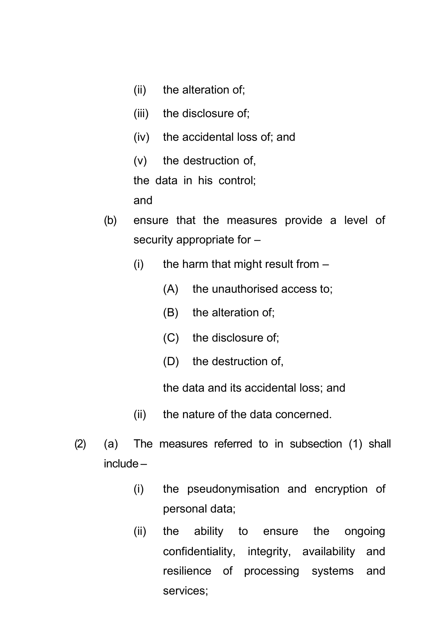- (ii) the alteration of;
- (iii) the disclosure of;
- (iv) the accidental loss of; and
- (v) the destruction of,

the data in his control;

and

- (b) ensure that the measures provide a level of security appropriate for –
	- (i) the harm that might result from  $-$ 
		- (A) the unauthorised access to;
		- (B) the alteration of;
		- (C) the disclosure of;
		- (D) the destruction of,

the data and its accidental loss; and

- (ii) the nature of the data concerned.
- (2) (a) The measures referred to in subsection (1) shall include –
	- (i) the pseudonymisation and encryption of personal data;
	- (ii) the ability to ensure the ongoing confidentiality, integrity, availability and resilience of processing systems and services;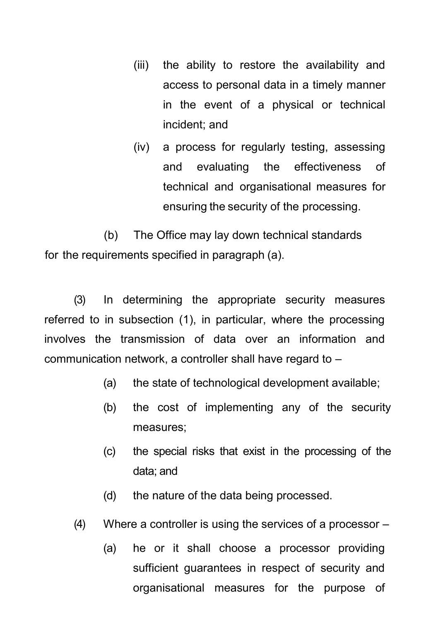- (iii) the ability to restore the availability and access to personal data in a timely manner in the event of a physical or technical incident; and
- (iv) a process for regularly testing, assessing and evaluating the effectiveness of technical and organisational measures for ensuring the security of the processing.

(b) The Office may lay down technical standards for the requirements specified in paragraph (a).

(3) In determining the appropriate security measures referred to in subsection (1), in particular, where the processing involves the transmission of data over an information and communication network, a controller shall have regard to –

- (a) the state of technological development available;
- (b) the cost of implementing any of the security measures;
- (c) the special risks that exist in the processing of the data; and
- (d) the nature of the data being processed.
- (4) Where a controller is using the services of a processor
	- (a) he or it shall choose a processor providing sufficient guarantees in respect of security and organisational measures for the purpose of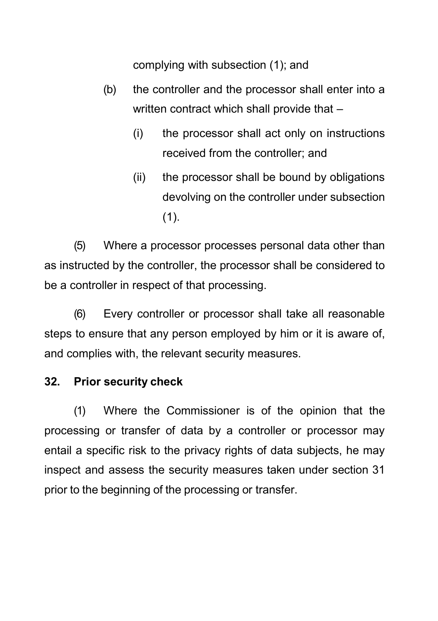complying with subsection (1); and

- (b) the controller and the processor shall enter into a written contract which shall provide that –
	- (i) the processor shall act only on instructions received from the controller; and
	- (ii) the processor shall be bound by obligations devolving on the controller under subsection  $(1).$

(5) Where a processor processes personal data other than as instructed by the controller, the processor shall be considered to be a controller in respect of that processing.

(6) Every controller or processor shall take all reasonable steps to ensure that any person employed by him or it is aware of, and complies with, the relevant security measures.

### **32. Prior security check**

(1) Where the Commissioner is of the opinion that the processing or transfer of data by a controller or processor may entail a specific risk to the privacy rights of data subjects, he may inspect and assess the security measures taken under section 31 prior to the beginning of the processing or transfer.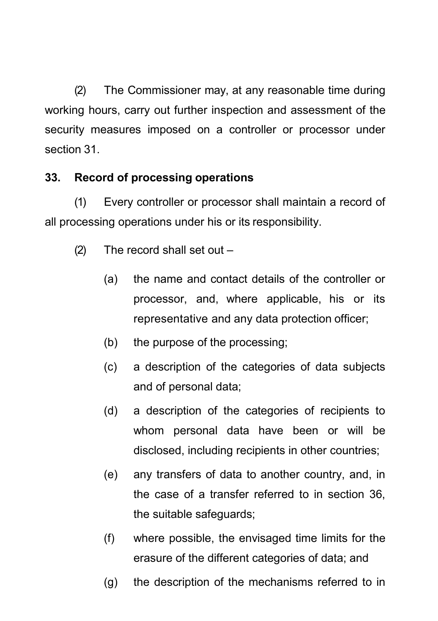(2) The Commissioner may, at any reasonable time during working hours, carry out further inspection and assessment of the security measures imposed on a controller or processor under section 31.

# **33. Record of processing operations**

(1) Every controller or processor shall maintain a record of all processing operations under his or its responsibility.

- (2) The record shall set out
	- (a) the name and contact details of the controller or processor, and, where applicable, his or its representative and any data protection officer;
	- (b) the purpose of the processing;
	- (c) a description of the categories of data subjects and of personal data;
	- (d) a description of the categories of recipients to whom personal data have been or will be disclosed, including recipients in other countries;
	- (e) any transfers of data to another country, and, in the case of a transfer referred to in section 36, the suitable safeguards;
	- (f) where possible, the envisaged time limits for the erasure of the different categories of data; and
	- (g) the description of the mechanisms referred to in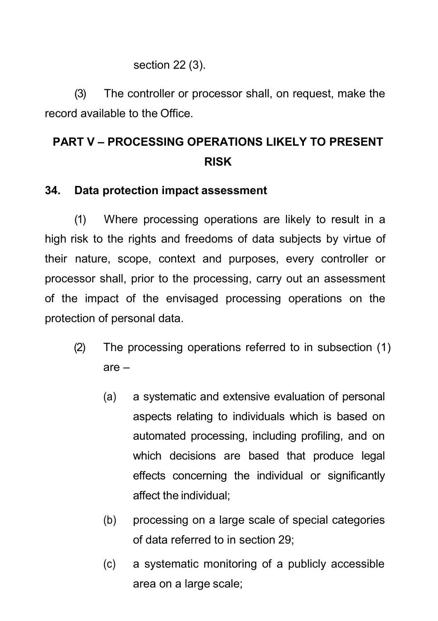### section 22 (3).

(3) The controller or processor shall, on request, make the record available to the Office.

# **PART V – PROCESSING OPERATIONS LIKELY TO PRESENT RISK**

### **34. Data protection impact assessment**

(1) Where processing operations are likely to result in a high risk to the rights and freedoms of data subjects by virtue of their nature, scope, context and purposes, every controller or processor shall, prior to the processing, carry out an assessment of the impact of the envisaged processing operations on the protection of personal data.

- (2) The processing operations referred to in subsection (1) are –
	- (a) a systematic and extensive evaluation of personal aspects relating to individuals which is based on automated processing, including profiling, and on which decisions are based that produce legal effects concerning the individual or significantly affect the individual;
	- (b) processing on a large scale of special categories of data referred to in section 29;
	- (c) a systematic monitoring of a publicly accessible area on a large scale;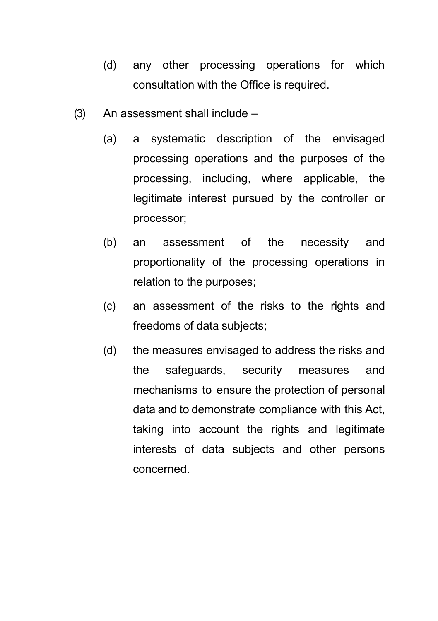- (d) any other processing operations for which consultation with the Office is required.
- (3) An assessment shall include
	- (a) a systematic description of the envisaged processing operations and the purposes of the processing, including, where applicable, the legitimate interest pursued by the controller or processor;
	- (b) an assessment of the necessity and proportionality of the processing operations in relation to the purposes;
	- (c) an assessment of the risks to the rights and freedoms of data subjects;
	- (d) the measures envisaged to address the risks and the safeguards, security measures and mechanisms to ensure the protection of personal data and to demonstrate compliance with this Act, taking into account the rights and legitimate interests of data subjects and other persons concerned.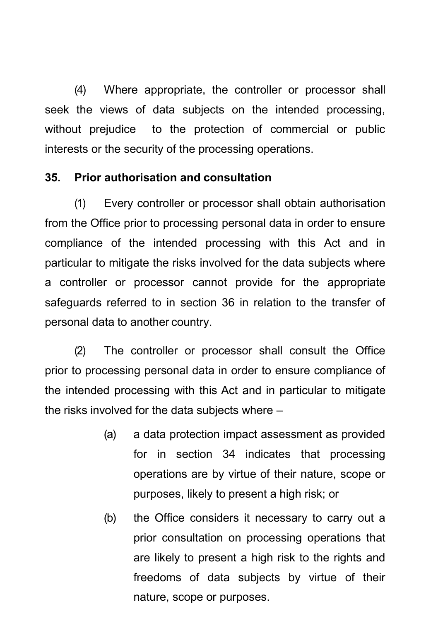(4) Where appropriate, the controller or processor shall seek the views of data subjects on the intended processing, without prejudice to the protection of commercial or public interests or the security of the processing operations.

#### **35. Prior authorisation and consultation**

(1) Every controller or processor shall obtain authorisation from the Office prior to processing personal data in order to ensure compliance of the intended processing with this Act and in particular to mitigate the risks involved for the data subjects where a controller or processor cannot provide for the appropriate safeguards referred to in section 36 in relation to the transfer of personal data to another country.

(2) The controller or processor shall consult the Office prior to processing personal data in order to ensure compliance of the intended processing with this Act and in particular to mitigate the risks involved for the data subjects where –

- (a) a data protection impact assessment as provided for in section 34 indicates that processing operations are by virtue of their nature, scope or purposes, likely to present a high risk; or
- (b) the Office considers it necessary to carry out a prior consultation on processing operations that are likely to present a high risk to the rights and freedoms of data subjects by virtue of their nature, scope or purposes.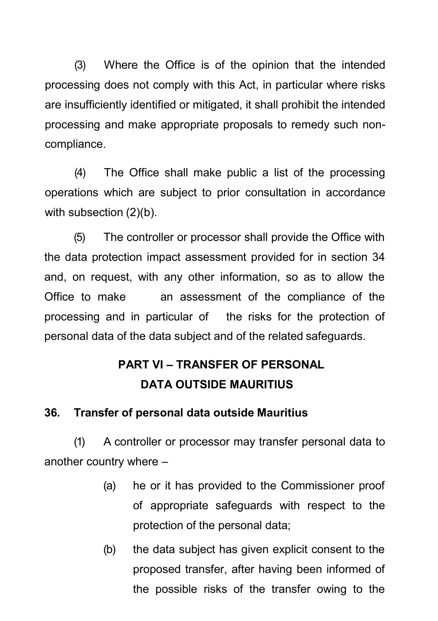(3) Where the Office is of the opinion that the intended processing does not comply with this Act, in particular where risks are insufficiently identified or mitigated, it shall prohibit the intended processing and make appropriate proposals to remedy such noncompliance.

(4) The Office shall make public a list of the processing operations which are subject to prior consultation in accordance with subsection (2)(b).

(5) The controller or processor shall provide the Office with the data protection impact assessment provided for in section 34 and, on request, with any other information, so as to allow the Office to make an assessment of the compliance of the processing and in particular of the risks for the protection of personal data of the data subject and of the related safeguards.

# **PART VI – TRANSFER OF PERSONAL DATA OUTSIDE MAURITIUS**

### **36. Transfer of personal data outside Mauritius**

(1) A controller or processor may transfer personal data to another country where –

- (a) he or it has provided to the Commissioner proof of appropriate safeguards with respect to the protection of the personal data;
- (b) the data subject has given explicit consent to the proposed transfer, after having been informed of the possible risks of the transfer owing to the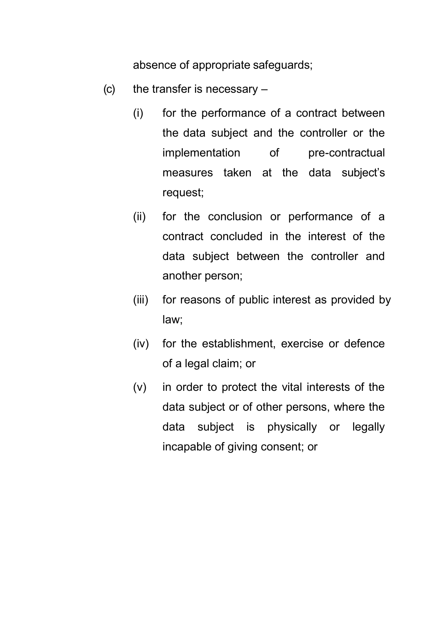absence of appropriate safeguards;

- (c) the transfer is necessary
	- (i) for the performance of a contract between the data subject and the controller or the implementation of pre-contractual measures taken at the data subject's request;
	- (ii) for the conclusion or performance of a contract concluded in the interest of the data subject between the controller and another person;
	- (iii) for reasons of public interest as provided by law;
	- (iv) for the establishment, exercise or defence of a legal claim; or
	- (v) in order to protect the vital interests of the data subject or of other persons, where the data subject is physically or legally incapable of giving consent; or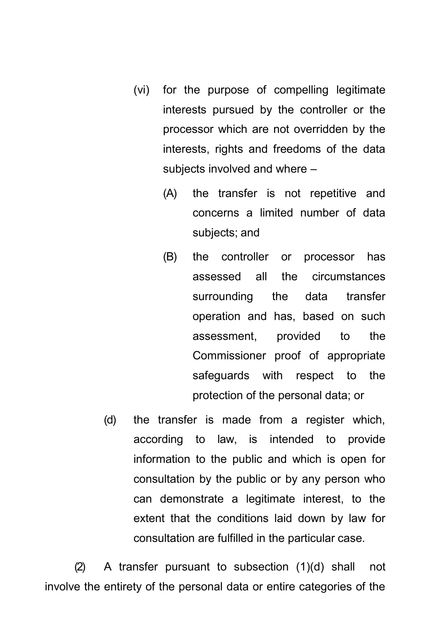- (vi) for the purpose of compelling legitimate interests pursued by the controller or the processor which are not overridden by the interests, rights and freedoms of the data subjects involved and where -
	- (A) the transfer is not repetitive and concerns a limited number of data subjects; and
	- (B) the controller or processor has assessed all the circumstances surrounding the data transfer operation and has, based on such assessment, provided to the Commissioner proof of appropriate safeguards with respect to the protection of the personal data; or
- (d) the transfer is made from a register which, according to law, is intended to provide information to the public and which is open for consultation by the public or by any person who can demonstrate a legitimate interest, to the extent that the conditions laid down by law for consultation are fulfilled in the particular case.

(2) A transfer pursuant to subsection (1)(d) shall not involve the entirety of the personal data or entire categories of the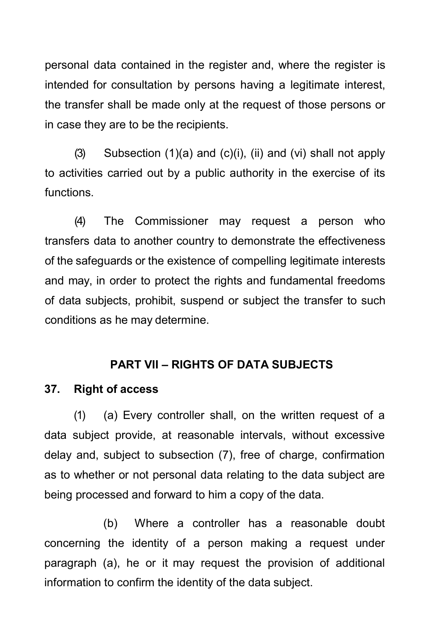personal data contained in the register and, where the register is intended for consultation by persons having a legitimate interest, the transfer shall be made only at the request of those persons or in case they are to be the recipients.

(3) Subsection  $(1)(a)$  and  $(c)(i)$ ,  $(ii)$  and  $(vi)$  shall not apply to activities carried out by a public authority in the exercise of its functions.

(4) The Commissioner may request a person who transfers data to another country to demonstrate the effectiveness of the safeguards or the existence of compelling legitimate interests and may, in order to protect the rights and fundamental freedoms of data subjects, prohibit, suspend or subject the transfer to such conditions as he may determine.

#### **PART VII – RIGHTS OF DATA SUBJECTS**

#### **37. Right of access**

(1) (a) Every controller shall, on the written request of a data subject provide, at reasonable intervals, without excessive delay and, subject to subsection (7), free of charge, confirmation as to whether or not personal data relating to the data subject are being processed and forward to him a copy of the data.

(b) Where a controller has a reasonable doubt concerning the identity of a person making a request under paragraph (a), he or it may request the provision of additional information to confirm the identity of the data subject.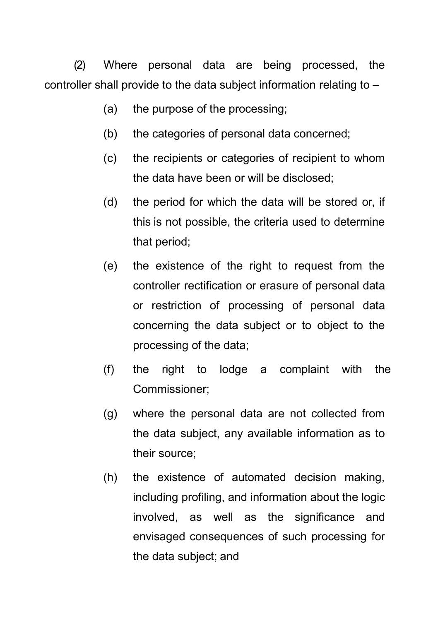(2) Where personal data are being processed, the controller shall provide to the data subject information relating to –

- (a) the purpose of the processing;
- (b) the categories of personal data concerned;
- (c) the recipients or categories of recipient to whom the data have been or will be disclosed;
- (d) the period for which the data will be stored or, if this is not possible, the criteria used to determine that period;
- (e) the existence of the right to request from the controller rectification or erasure of personal data or restriction of processing of personal data concerning the data subject or to object to the processing of the data;
- (f) the right to lodge a complaint with the Commissioner;
- (g) where the personal data are not collected from the data subject, any available information as to their source;
- (h) the existence of automated decision making, including profiling, and information about the logic involved, as well as the significance and envisaged consequences of such processing for the data subject; and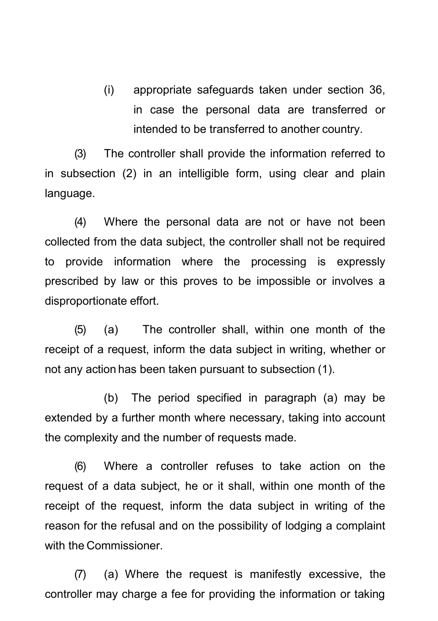(i) appropriate safeguards taken under section 36, in case the personal data are transferred or intended to be transferred to another country.

(3) The controller shall provide the information referred to in subsection (2) in an intelligible form, using clear and plain language.

(4) Where the personal data are not or have not been collected from the data subject, the controller shall not be required to provide information where the processing is expressly prescribed by law or this proves to be impossible or involves a disproportionate effort.

(5) (a) The controller shall, within one month of the receipt of a request, inform the data subject in writing, whether or not any action has been taken pursuant to subsection (1).

(b) The period specified in paragraph (a) may be extended by a further month where necessary, taking into account the complexity and the number of requests made.

(6) Where a controller refuses to take action on the request of a data subject, he or it shall, within one month of the receipt of the request, inform the data subject in writing of the reason for the refusal and on the possibility of lodging a complaint with the Commissioner.

(7) (a) Where the request is manifestly excessive, the controller may charge a fee for providing the information or taking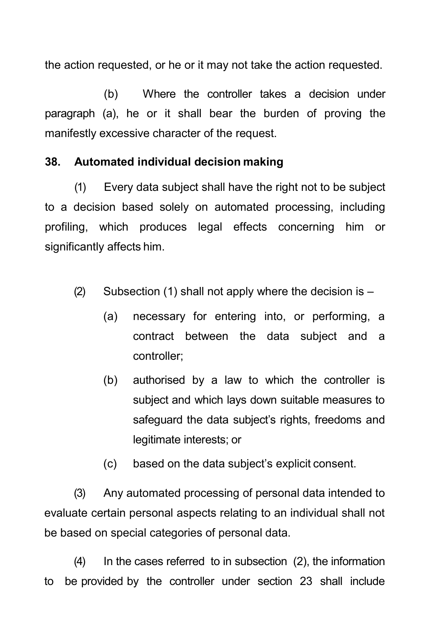the action requested, or he or it may not take the action requested.

(b) Where the controller takes a decision under paragraph (a), he or it shall bear the burden of proving the manifestly excessive character of the request.

### **38. Automated individual decision making**

(1) Every data subject shall have the right not to be subject to a decision based solely on automated processing, including profiling, which produces legal effects concerning him or significantly affects him.

- (2) Subsection (1) shall not apply where the decision is  $-$ 
	- (a) necessary for entering into, or performing, a contract between the data subject and a controller;
	- (b) authorised by a law to which the controller is subject and which lays down suitable measures to safeguard the data subject's rights, freedoms and legitimate interests; or
	- (c) based on the data subject's explicit consent.

(3) Any automated processing of personal data intended to evaluate certain personal aspects relating to an individual shall not be based on special categories of personal data.

(4) In the cases referred to in subsection (2), the information to be provided by the controller under section 23 shall include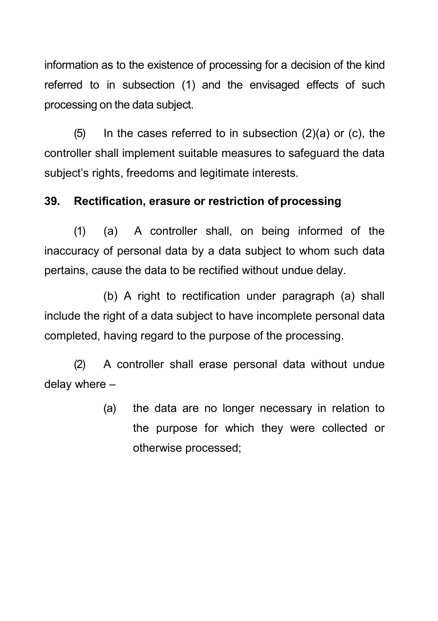information as to the existence of processing for a decision of the kind referred to in subsection (1) and the envisaged effects of such processing on the data subject.

 $(5)$  In the cases referred to in subsection  $(2)(a)$  or  $(c)$ , the controller shall implement suitable measures to safeguard the data subject's rights, freedoms and legitimate interests.

#### **39. Rectification, erasure or restriction of processing**

(1) (a) A controller shall, on being informed of the inaccuracy of personal data by a data subject to whom such data pertains, cause the data to be rectified without undue delay.

(b) A right to rectification under paragraph (a) shall include the right of a data subject to have incomplete personal data completed, having regard to the purpose of the processing.

(2) A controller shall erase personal data without undue delay where –

> (a) the data are no longer necessary in relation to the purpose for which they were collected or otherwise processed;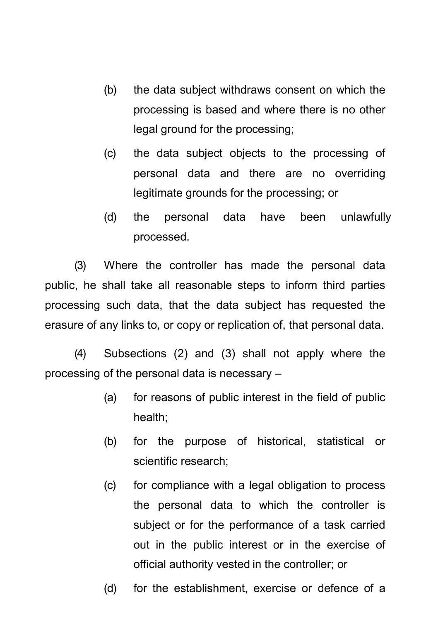- (b) the data subject withdraws consent on which the processing is based and where there is no other legal ground for the processing;
- (c) the data subject objects to the processing of personal data and there are no overriding legitimate grounds for the processing; or
- (d) the personal data have been unlawfully processed.

(3) Where the controller has made the personal data public, he shall take all reasonable steps to inform third parties processing such data, that the data subject has requested the erasure of any links to, or copy or replication of, that personal data.

(4) Subsections (2) and (3) shall not apply where the processing of the personal data is necessary –

- (a) for reasons of public interest in the field of public health;
- (b) for the purpose of historical, statistical or scientific research;
- (c) for compliance with a legal obligation to process the personal data to which the controller is subject or for the performance of a task carried out in the public interest or in the exercise of official authority vested in the controller; or
- (d) for the establishment, exercise or defence of a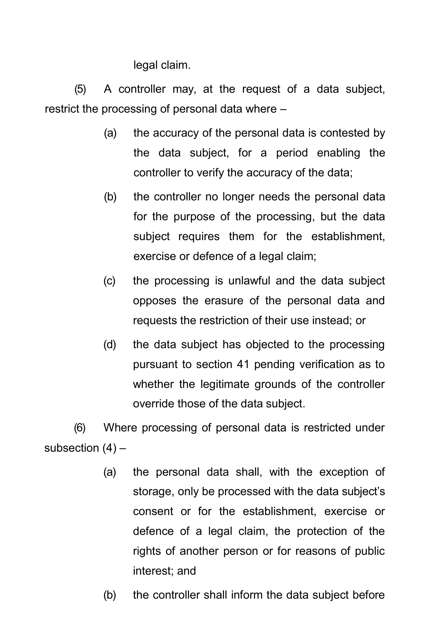legal claim.

(5) A controller may, at the request of a data subject, restrict the processing of personal data where –

- (a) the accuracy of the personal data is contested by the data subject, for a period enabling the controller to verify the accuracy of the data;
- (b) the controller no longer needs the personal data for the purpose of the processing, but the data subject requires them for the establishment, exercise or defence of a legal claim;
- (c) the processing is unlawful and the data subject opposes the erasure of the personal data and requests the restriction of their use instead; or
- (d) the data subject has objected to the processing pursuant to section 41 pending verification as to whether the legitimate grounds of the controller override those of the data subject.

(6) Where processing of personal data is restricted under subsection  $(4)$  –

- (a) the personal data shall, with the exception of storage, only be processed with the data subject's consent or for the establishment, exercise or defence of a legal claim, the protection of the rights of another person or for reasons of public interest; and
- (b) the controller shall inform the data subject before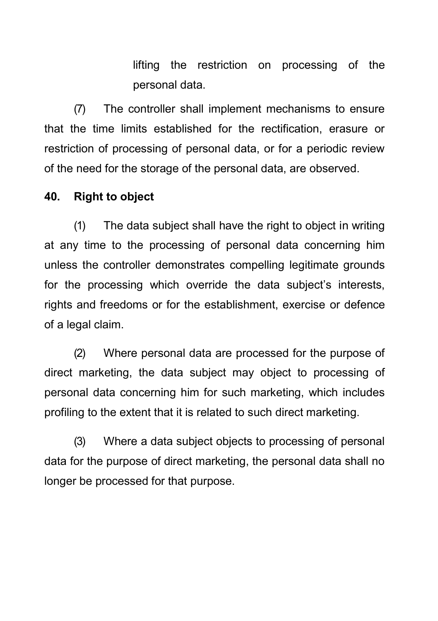lifting the restriction on processing of the personal data.

(7) The controller shall implement mechanisms to ensure that the time limits established for the rectification, erasure or restriction of processing of personal data, or for a periodic review of the need for the storage of the personal data, are observed.

#### **40. Right to object**

(1) The data subject shall have the right to object in writing at any time to the processing of personal data concerning him unless the controller demonstrates compelling legitimate grounds for the processing which override the data subject's interests, rights and freedoms or for the establishment, exercise or defence of a legal claim.

(2) Where personal data are processed for the purpose of direct marketing, the data subject may object to processing of personal data concerning him for such marketing, which includes profiling to the extent that it is related to such direct marketing.

(3) Where a data subject objects to processing of personal data for the purpose of direct marketing, the personal data shall no longer be processed for that purpose.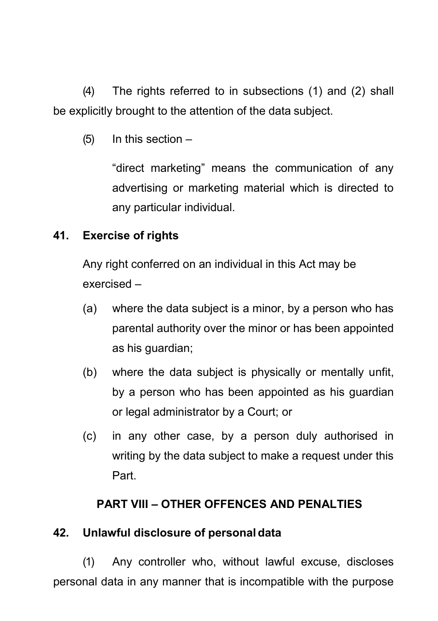(4) The rights referred to in subsections (1) and (2) shall be explicitly brought to the attention of the data subject.

 $(5)$  In this section  $-$ 

"direct marketing" means the communication of any advertising or marketing material which is directed to any particular individual.

# **41. Exercise of rights**

Any right conferred on an individual in this Act may be exercised –

- (a) where the data subject is a minor, by a person who has parental authority over the minor or has been appointed as his guardian;
- (b) where the data subject is physically or mentally unfit, by a person who has been appointed as his guardian or legal administrator by a Court; or
- (c) in any other case, by a person duly authorised in writing by the data subject to make a request under this Part.

# **PART VIII – OTHER OFFENCES AND PENALTIES**

# **42. Unlawful disclosure of personaldata**

(1) Any controller who, without lawful excuse, discloses personal data in any manner that is incompatible with the purpose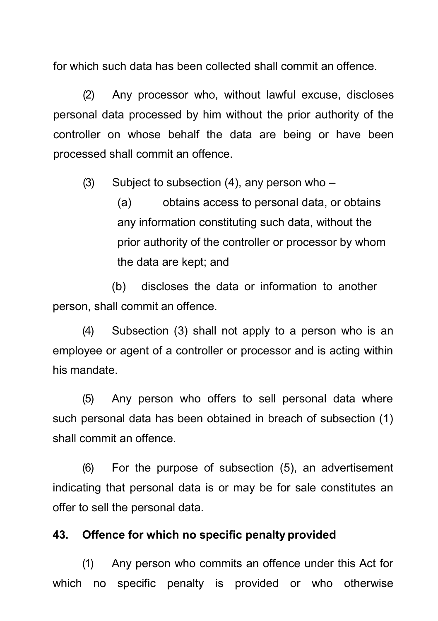for which such data has been collected shall commit an offence.

(2) Any processor who, without lawful excuse, discloses personal data processed by him without the prior authority of the controller on whose behalf the data are being or have been processed shall commit an offence.

(3) Subject to subsection  $(4)$ , any person who –

(a) obtains access to personal data, or obtains any information constituting such data, without the prior authority of the controller or processor by whom the data are kept; and

(b) discloses the data or information to another person, shall commit an offence.

(4) Subsection (3) shall not apply to a person who is an employee or agent of a controller or processor and is acting within his mandate.

(5) Any person who offers to sell personal data where such personal data has been obtained in breach of subsection (1) shall commit an offence.

(6) For the purpose of subsection (5), an advertisement indicating that personal data is or may be for sale constitutes an offer to sell the personal data.

#### **43. Offence for which no specific penalty provided**

(1) Any person who commits an offence under this Act for which no specific penalty is provided or who otherwise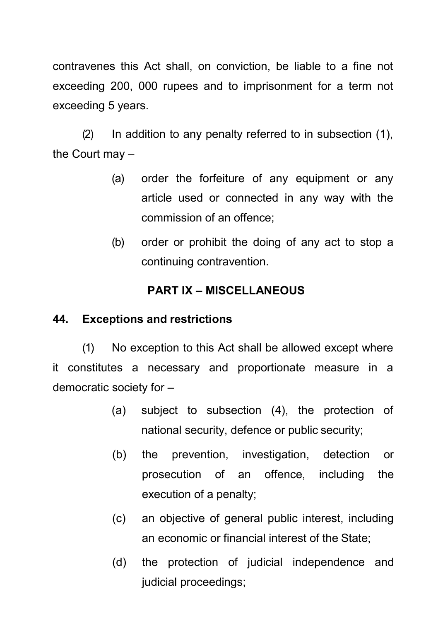contravenes this Act shall, on conviction, be liable to a fine not exceeding 200, 000 rupees and to imprisonment for a term not exceeding 5 years.

(2) In addition to any penalty referred to in subsection (1), the Court may –

- (a) order the forfeiture of any equipment or any article used or connected in any way with the commission of an offence;
- (b) order or prohibit the doing of any act to stop a continuing contravention.

# **PART IX – MISCELLANEOUS**

### **44. Exceptions and restrictions**

(1) No exception to this Act shall be allowed except where it constitutes a necessary and proportionate measure in a democratic society for –

- (a) subject to subsection (4), the protection of national security, defence or public security;
- (b) the prevention, investigation, detection or prosecution of an offence, including the execution of a penalty;
- (c) an objective of general public interest, including an economic or financial interest of the State;
- (d) the protection of judicial independence and judicial proceedings;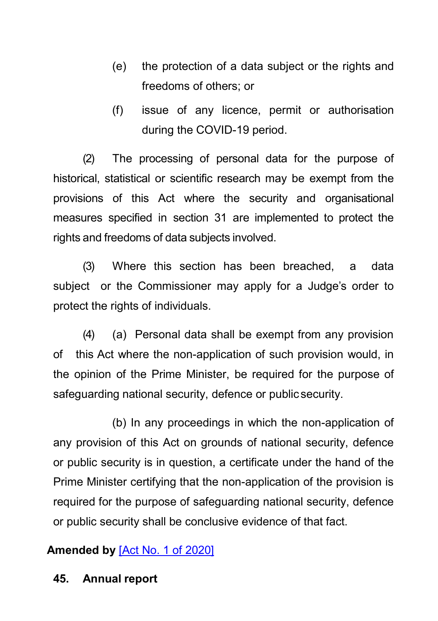- (e) the protection of a data subject or the rights and freedoms of others; or
- (f) issue of any licence, permit or authorisation during the COVID-19 period.

(2) The processing of personal data for the purpose of historical, statistical or scientific research may be exempt from the provisions of this Act where the security and organisational measures specified in section 31 are implemented to protect the rights and freedoms of data subjects involved.

(3) Where this section has been breached, a data subject or the Commissioner may apply for a Judge's order to protect the rights of individuals.

(4) (a) Personal data shall be exempt from any provision of this Act where the non-application of such provision would, in the opinion of the Prime Minister, be required for the purpose of safeguarding national security, defence or public security.

(b) In any proceedings in which the non-application of any provision of this Act on grounds of national security, defence or public security is in question, a certificate under the hand of the Prime Minister certifying that the non-application of the provision is required for the purpose of safeguarding national security, defence or public security shall be conclusive evidence of that fact.

## **Amended by** [\[Act No. 1 of 2020\]](https://supremecourt.govmu.org/get-doc-link/Act_No._1_of_2020)

### **45. Annual report**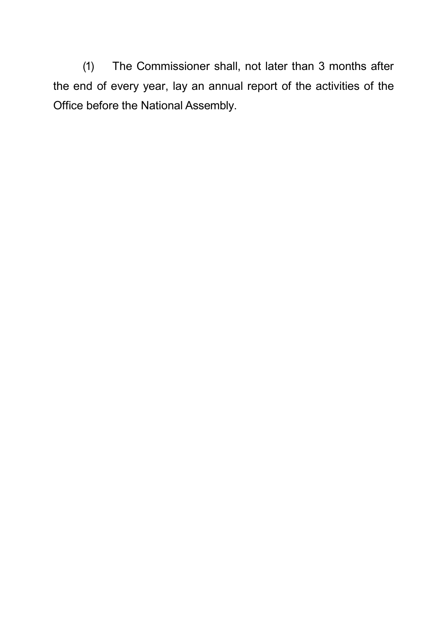(1) The Commissioner shall, not later than 3 months after the end of every year, lay an annual report of the activities of the Office before the National Assembly.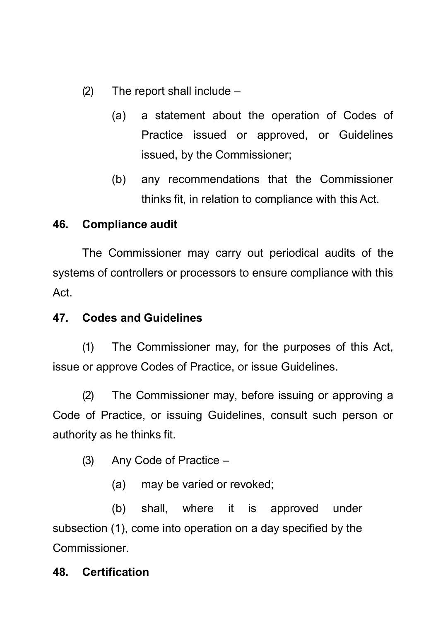(2) The report shall include –

- (a) a statement about the operation of Codes of Practice issued or approved, or Guidelines issued, by the Commissioner;
- (b) any recommendations that the Commissioner thinks fit, in relation to compliance with this Act.

## **46. Compliance audit**

The Commissioner may carry out periodical audits of the systems of controllers or processors to ensure compliance with this Act.

### **47. Codes and Guidelines**

(1) The Commissioner may, for the purposes of this Act, issue or approve Codes of Practice, or issue Guidelines.

(2) The Commissioner may, before issuing or approving a Code of Practice, or issuing Guidelines, consult such person or authority as he thinks fit.

(3) Any Code of Practice –

(a) may be varied or revoked;

(b) shall, where it is approved under subsection (1), come into operation on a day specified by the Commissioner.

### **48. Certification**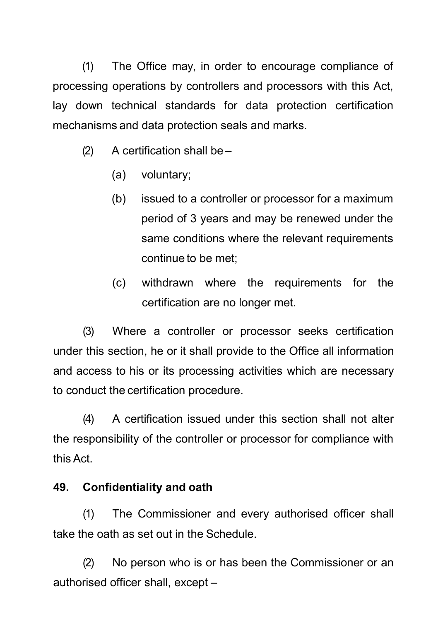(1) The Office may, in order to encourage compliance of processing operations by controllers and processors with this Act, lay down technical standards for data protection certification mechanisms and data protection seals and marks.

- (2) A certification shall be
	- (a) voluntary;
	- (b) issued to a controller or processor for a maximum period of 3 years and may be renewed under the same conditions where the relevant requirements continue to be met;
	- (c) withdrawn where the requirements for the certification are no longer met.

(3) Where a controller or processor seeks certification under this section, he or it shall provide to the Office all information and access to his or its processing activities which are necessary to conduct the certification procedure.

(4) A certification issued under this section shall not alter the responsibility of the controller or processor for compliance with this Act.

# **49. Confidentiality and oath**

(1) The Commissioner and every authorised officer shall take the oath as set out in the Schedule.

(2) No person who is or has been the Commissioner or an authorised officer shall, except –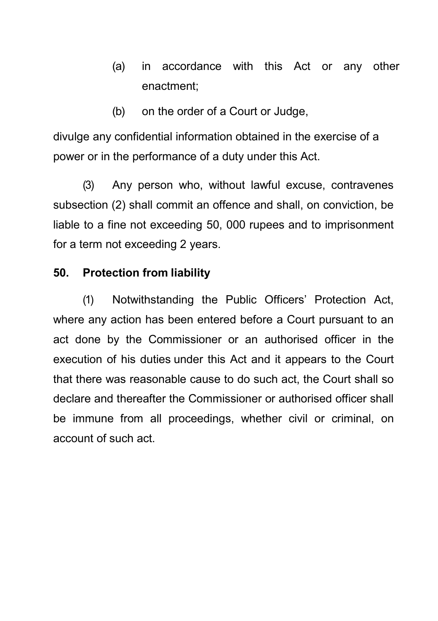- (a) in accordance with this Act or any other enactment;
- (b) on the order of a Court or Judge,

divulge any confidential information obtained in the exercise of a power or in the performance of a duty under this Act.

(3) Any person who, without lawful excuse, contravenes subsection (2) shall commit an offence and shall, on conviction, be liable to a fine not exceeding 50, 000 rupees and to imprisonment for a term not exceeding 2 years.

## **50. Protection from liability**

(1) Notwithstanding the Public Officers' Protection Act, where any action has been entered before a Court pursuant to an act done by the Commissioner or an authorised officer in the execution of his duties under this Act and it appears to the Court that there was reasonable cause to do such act, the Court shall so declare and thereafter the Commissioner or authorised officer shall be immune from all proceedings, whether civil or criminal, on account of such act.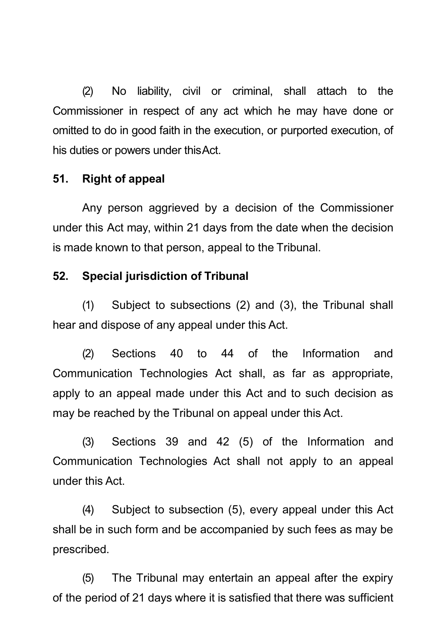(2) No liability, civil or criminal, shall attach to the Commissioner in respect of any act which he may have done or omitted to do in good faith in the execution, or purported execution, of his duties or powers under thisAct.

### **51. Right of appeal**

Any person aggrieved by a decision of the Commissioner under this Act may, within 21 days from the date when the decision is made known to that person, appeal to the Tribunal.

### **52. Special jurisdiction of Tribunal**

(1) Subject to subsections (2) and (3), the Tribunal shall hear and dispose of any appeal under this Act.

(2) Sections 40 to 44 of the Information and Communication Technologies Act shall, as far as appropriate, apply to an appeal made under this Act and to such decision as may be reached by the Tribunal on appeal under this Act.

(3) Sections 39 and 42 (5) of the Information and Communication Technologies Act shall not apply to an appeal under this Act.

(4) Subject to subsection (5), every appeal under this Act shall be in such form and be accompanied by such fees as may be prescribed.

(5) The Tribunal may entertain an appeal after the expiry of the period of 21 days where it is satisfied that there was sufficient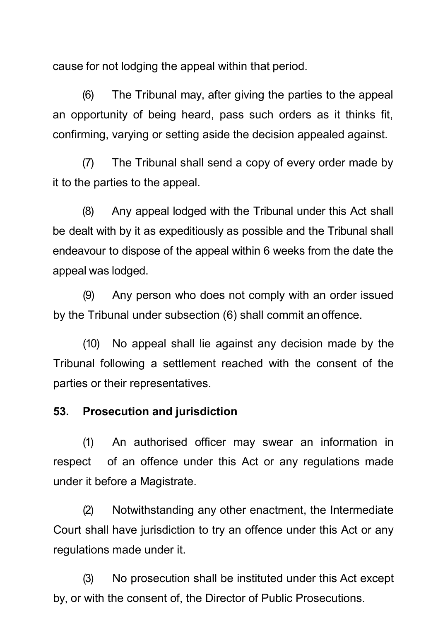cause for not lodging the appeal within that period.

(6) The Tribunal may, after giving the parties to the appeal an opportunity of being heard, pass such orders as it thinks fit, confirming, varying or setting aside the decision appealed against.

(7) The Tribunal shall send a copy of every order made by it to the parties to the appeal.

(8) Any appeal lodged with the Tribunal under this Act shall be dealt with by it as expeditiously as possible and the Tribunal shall endeavour to dispose of the appeal within 6 weeks from the date the appeal was lodged.

(9) Any person who does not comply with an order issued by the Tribunal under subsection (6) shall commit an offence.

(10) No appeal shall lie against any decision made by the Tribunal following a settlement reached with the consent of the parties or their representatives.

### **53. Prosecution and jurisdiction**

(1) An authorised officer may swear an information in respect of an offence under this Act or any regulations made under it before a Magistrate.

(2) Notwithstanding any other enactment, the Intermediate Court shall have jurisdiction to try an offence under this Act or any regulations made under it.

(3) No prosecution shall be instituted under this Act except by, or with the consent of, the Director of Public Prosecutions.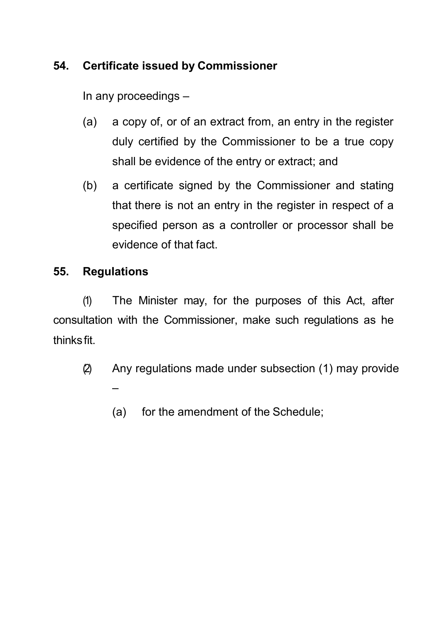# **54. Certificate issued by Commissioner**

In any proceedings –

- (a) a copy of, or of an extract from, an entry in the register duly certified by the Commissioner to be a true copy shall be evidence of the entry or extract; and
- (b) a certificate signed by the Commissioner and stating that there is not an entry in the register in respect of a specified person as a controller or processor shall be evidence of that fact.

## **55. Regulations**

(1) The Minister may, for the purposes of this Act, after consultation with the Commissioner, make such regulations as he thinks fit.

- (2) Any regulations made under subsection (1) may provide –
	- (a) for the amendment of the Schedule;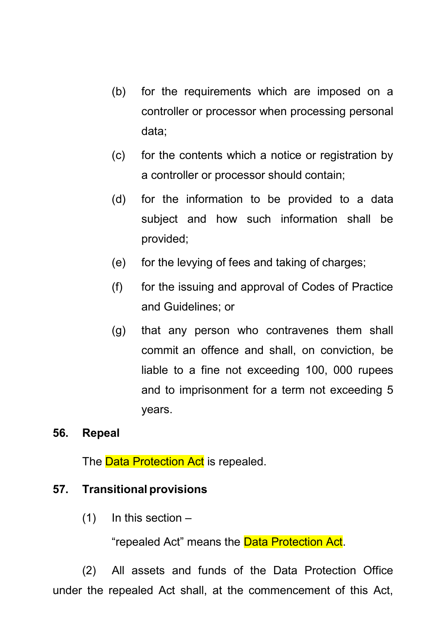- (b) for the requirements which are imposed on a controller or processor when processing personal data;
- (c) for the contents which a notice or registration by a controller or processor should contain;
- (d) for the information to be provided to a data subject and how such information shall be provided;
- (e) for the levying of fees and taking of charges;
- (f) for the issuing and approval of Codes of Practice and Guidelines; or
- (g) that any person who contravenes them shall commit an offence and shall, on conviction, be liable to a fine not exceeding 100, 000 rupees and to imprisonment for a term not exceeding 5 years.

### **56. Repeal**

The **Data Protection Act** is repealed.

### **57. Transitional provisions**

 $(1)$  In this section –

"repealed Act" means the **Data Protection Act.** 

(2) All assets and funds of the Data Protection Office under the repealed Act shall, at the commencement of this Act,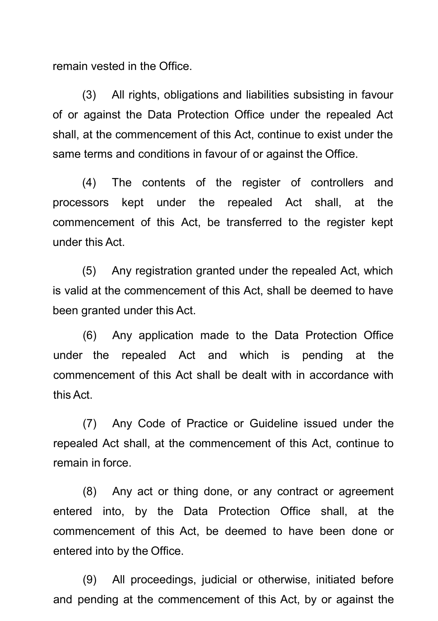remain vested in the Office.

(3) All rights, obligations and liabilities subsisting in favour of or against the Data Protection Office under the repealed Act shall, at the commencement of this Act, continue to exist under the same terms and conditions in favour of or against the Office.

(4) The contents of the register of controllers and processors kept under the repealed Act shall, at the commencement of this Act, be transferred to the register kept under this Act.

(5) Any registration granted under the repealed Act, which is valid at the commencement of this Act, shall be deemed to have been granted under this Act.

(6) Any application made to the Data Protection Office under the repealed Act and which is pending at the commencement of this Act shall be dealt with in accordance with this Act.

(7) Any Code of Practice or Guideline issued under the repealed Act shall, at the commencement of this Act, continue to remain in force.

(8) Any act or thing done, or any contract or agreement entered into, by the Data Protection Office shall, at the commencement of this Act, be deemed to have been done or entered into by the Office.

(9) All proceedings, judicial or otherwise, initiated before and pending at the commencement of this Act, by or against the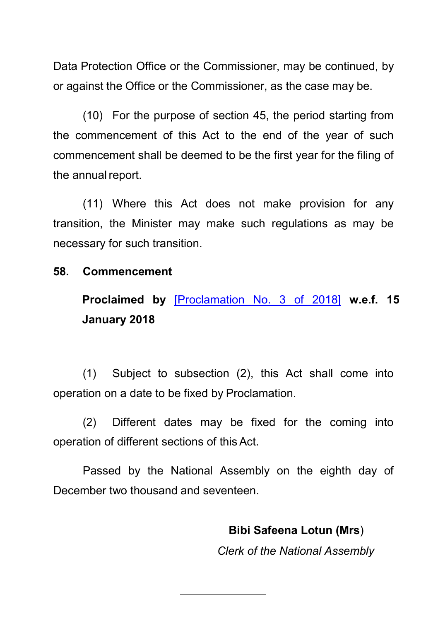Data Protection Office or the Commissioner, may be continued, by or against the Office or the Commissioner, as the case may be.

(10) For the purpose of section 45, the period starting from the commencement of this Act to the end of the year of such commencement shall be deemed to be the first year for the filing of the annual report.

(11) Where this Act does not make provision for any transition, the Minister may make such regulations as may be necessary for such transition.

#### **58. Commencement**

**Proclaimed by** [\[Proclamation No. 3 of 2018\]](https://supremecourt.govmu.org/get-doc-link/Proclamation_No._3_of_2018) **w.e.f. 15 January 2018**

(1) Subject to subsection (2), this Act shall come into operation on a date to be fixed by Proclamation.

(2) Different dates may be fixed for the coming into operation of different sections of thisAct.

Passed by the National Assembly on the eighth day of December two thousand and seventeen.

**Bibi Safeena Lotun (Mrs**)

*Clerk of the National Assembly*